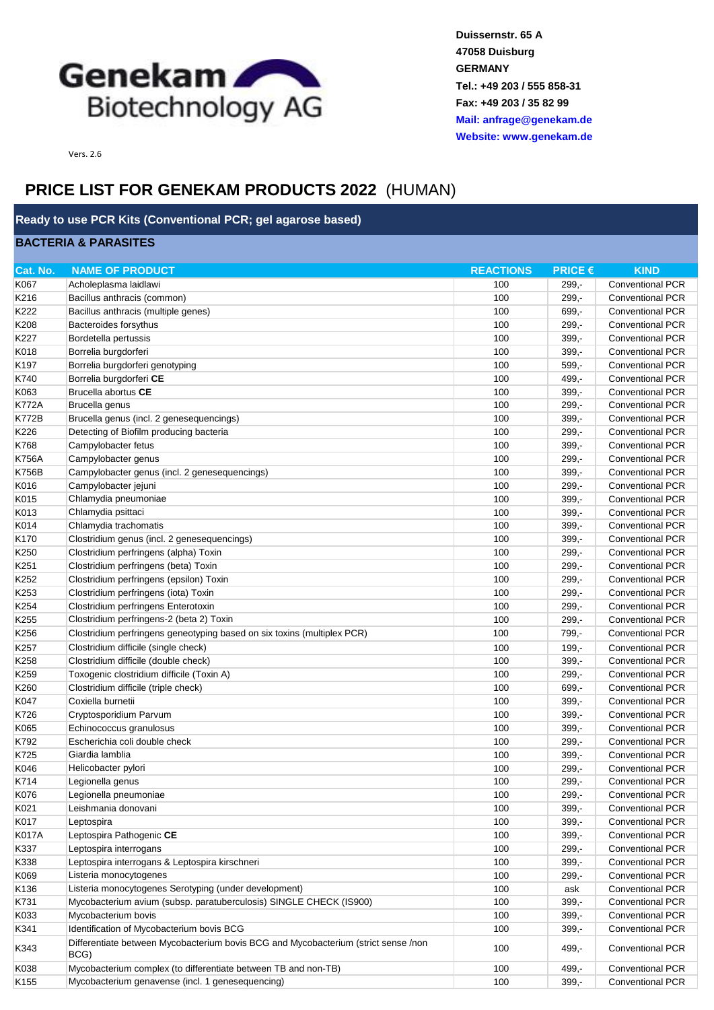

**Duissernstr. 65 A 47058 Duisburg GERMANY Tel.: +49 203 / 555 858-31 Fax: +49 203 / 35 82 99 [Mail: anfrage@gen](mailto:anfrage@genekam.de)ekam.de [Website: www.gen](http://www.genekam.de/)ekam.de**

Vers. 2.6

## **PRICE LIST FOR GENEKAM PRODUCTS 2022** (HUMAN)

## **Ready to use PCR Kits (Conventional PCR; gel agarose based)**

## **BACTERIA & PARASITES**

| K067<br>100<br><b>Conventional PCR</b><br>Acholeplasma laidlawi<br>$299. -$<br>K216<br>100<br>$299,-$<br><b>Conventional PCR</b><br>Bacillus anthracis (common)<br>K222<br>100<br>Bacillus anthracis (multiple genes)<br>$699 -$<br><b>Conventional PCR</b><br>K208<br>Bacteroides forsythus<br>100<br>$299 -$<br><b>Conventional PCR</b><br>K227<br>100<br>Bordetella pertussis<br>$399,-$<br><b>Conventional PCR</b><br>K018<br>100<br>$399,-$<br><b>Conventional PCR</b><br>Borrelia burgdorferi<br>K197<br>100<br>$599,-$<br><b>Conventional PCR</b><br>Borrelia burgdorferi genotyping<br>K740<br>Borrelia burgdorferi CE<br>100<br>499,-<br><b>Conventional PCR</b><br>K063<br>Brucella abortus CE<br>100<br>$399,-$<br><b>Conventional PCR</b><br><b>K772A</b><br>100<br>Brucella genus<br>$299 -$<br><b>Conventional PCR</b><br><b>K772B</b><br>100<br>$399,-$<br><b>Conventional PCR</b><br>Brucella genus (incl. 2 genesequencings)<br>K226<br>100<br>Detecting of Biofilm producing bacteria<br>$299 -$<br><b>Conventional PCR</b><br>K768<br>Campylobacter fetus<br>100<br>$399,-$<br><b>Conventional PCR</b><br><b>K756A</b><br>100<br>Campylobacter genus<br>$299,-$<br><b>Conventional PCR</b><br><b>K756B</b><br>100<br>$399,-$<br><b>Conventional PCR</b><br>Campylobacter genus (incl. 2 genesequencings)<br>100<br>K016<br>Campylobacter jejuni<br>$299,-$<br><b>Conventional PCR</b><br>Chlamydia pneumoniae<br>K015<br>100<br>$399 -$<br><b>Conventional PCR</b><br>K013<br>Chlamydia psittaci<br>100<br>$399,-$<br><b>Conventional PCR</b><br>100<br>K014<br>Chlamydia trachomatis<br>$399,-$<br><b>Conventional PCR</b><br>K170<br>Clostridium genus (incl. 2 genesequencings)<br>100<br>$399,-$<br><b>Conventional PCR</b><br>K250<br>Clostridium perfringens (alpha) Toxin<br>100<br>$299,-$<br><b>Conventional PCR</b><br>K251<br>Clostridium perfringens (beta) Toxin<br>100<br>$299,-$<br><b>Conventional PCR</b><br>K252<br>100<br>Clostridium perfringens (epsilon) Toxin<br>$299,-$<br><b>Conventional PCR</b><br>K253<br>Clostridium perfringens (iota) Toxin<br>100<br>$299,-$<br><b>Conventional PCR</b><br>K254<br>100<br>$299,-$<br>Clostridium perfringens Enterotoxin<br><b>Conventional PCR</b><br>K255<br>Clostridium perfringens-2 (beta 2) Toxin<br>100<br>$299 -$<br><b>Conventional PCR</b><br>100<br><b>Conventional PCR</b><br>K <sub>256</sub><br>Clostridium perfringens geneotyping based on six toxins (multiplex PCR)<br>799,-<br>K257<br>100<br>Clostridium difficile (single check)<br>$199,-$<br><b>Conventional PCR</b><br>K258<br>Clostridium difficile (double check)<br>100<br>$399,-$<br><b>Conventional PCR</b><br>K259<br>100<br>$299,-$<br><b>Conventional PCR</b><br>Toxogenic clostridium difficile (Toxin A)<br>K260<br>Clostridium difficile (triple check)<br>100<br>699,-<br><b>Conventional PCR</b><br>K047<br>Coxiella burnetii<br>100<br>$399,-$<br><b>Conventional PCR</b><br>K726<br>100<br>Cryptosporidium Parvum<br>$399 -$<br><b>Conventional PCR</b><br>K065<br>100<br>$399,-$<br>Echinococcus granulosus<br><b>Conventional PCR</b><br>Escherichia coli double check<br>100<br><b>Conventional PCR</b><br>K792<br>$299 -$<br>K725<br>Giardia lamblia<br>100<br>$399,-$<br><b>Conventional PCR</b><br>K046<br>100<br>$299,-$<br>Helicobacter pylori<br><b>Conventional PCR</b><br>K714<br>100<br>$299. -$<br>Legionella genus<br><b>Conventional PCR</b><br>299,-<br>K076<br>100<br><b>Conventional PCR</b><br>Legionella pneumoniae<br>Leishmania donovani<br>K021<br>100<br>$399,-$<br><b>Conventional PCR</b><br>K017<br>100<br>$399,-$<br>Conventional PCR<br>Leptospira<br>Leptospira Pathogenic CE<br><b>K017A</b><br>100<br>$399,-$<br><b>Conventional PCR</b><br>100<br>299,-<br>Conventional PCR<br>K337<br>Leptospira interrogans<br>Leptospira interrogans & Leptospira kirschneri<br>$399,-$<br><b>Conventional PCR</b><br>K338<br>100<br>K069<br>100<br>$299,-$<br>Listeria monocytogenes<br><b>Conventional PCR</b><br>K136<br>Listeria monocytogenes Serotyping (under development)<br>100<br><b>Conventional PCR</b><br>ask<br>K731<br>Mycobacterium avium (subsp. paratuberculosis) SINGLE CHECK (IS900)<br>100<br>$399,-$<br><b>Conventional PCR</b><br>K033<br>Mycobacterium bovis<br>100<br>$399,-$<br><b>Conventional PCR</b><br>Identification of Mycobacterium bovis BCG<br>Conventional PCR<br>K341<br>100<br>$399,-$<br>Differentiate between Mycobacterium bovis BCG and Mycobacterium (strict sense /non<br>K343<br>100<br>499,-<br><b>Conventional PCR</b><br>BCG)<br>Mycobacterium complex (to differentiate between TB and non-TB)<br><b>Conventional PCR</b><br>K038<br>100<br>499,-<br>K155<br>Mycobacterium genavense (incl. 1 genesequencing)<br>100<br>$399,-$<br><b>Conventional PCR</b> | Cat. No. | <b>NAME OF PRODUCT</b> | <b>REACTIONS</b> | <b>PRICE €</b> | <b>KIND</b> |
|-----------------------------------------------------------------------------------------------------------------------------------------------------------------------------------------------------------------------------------------------------------------------------------------------------------------------------------------------------------------------------------------------------------------------------------------------------------------------------------------------------------------------------------------------------------------------------------------------------------------------------------------------------------------------------------------------------------------------------------------------------------------------------------------------------------------------------------------------------------------------------------------------------------------------------------------------------------------------------------------------------------------------------------------------------------------------------------------------------------------------------------------------------------------------------------------------------------------------------------------------------------------------------------------------------------------------------------------------------------------------------------------------------------------------------------------------------------------------------------------------------------------------------------------------------------------------------------------------------------------------------------------------------------------------------------------------------------------------------------------------------------------------------------------------------------------------------------------------------------------------------------------------------------------------------------------------------------------------------------------------------------------------------------------------------------------------------------------------------------------------------------------------------------------------------------------------------------------------------------------------------------------------------------------------------------------------------------------------------------------------------------------------------------------------------------------------------------------------------------------------------------------------------------------------------------------------------------------------------------------------------------------------------------------------------------------------------------------------------------------------------------------------------------------------------------------------------------------------------------------------------------------------------------------------------------------------------------------------------------------------------------------------------------------------------------------------------------------------------------------------------------------------------------------------------------------------------------------------------------------------------------------------------------------------------------------------------------------------------------------------------------------------------------------------------------------------------------------------------------------------------------------------------------------------------------------------------------------------------------------------------------------------------------------------------------------------------------------------------------------------------------------------------------------------------------------------------------------------------------------------------------------------------------------------------------------------------------------------------------------------------------------------------------------------------------------------------------------------------------------------------------------------------------------------------------------------------------------------------------------------------------------------------------------------------------------------------------------------------------------------------------------------------------------------------------------------------------------------------------------------------------------------------------------------------------------------------------------------------------------------------------------------------------------------------------------------------------------------------------------------------------------------------------------------------------|----------|------------------------|------------------|----------------|-------------|
|                                                                                                                                                                                                                                                                                                                                                                                                                                                                                                                                                                                                                                                                                                                                                                                                                                                                                                                                                                                                                                                                                                                                                                                                                                                                                                                                                                                                                                                                                                                                                                                                                                                                                                                                                                                                                                                                                                                                                                                                                                                                                                                                                                                                                                                                                                                                                                                                                                                                                                                                                                                                                                                                                                                                                                                                                                                                                                                                                                                                                                                                                                                                                                                                                                                                                                                                                                                                                                                                                                                                                                                                                                                                                                                                                                                                                                                                                                                                                                                                                                                                                                                                                                                                                                                                                                                                                                                                                                                                                                                                                                                                                                                                                                                                                                                                           |          |                        |                  |                |             |
|                                                                                                                                                                                                                                                                                                                                                                                                                                                                                                                                                                                                                                                                                                                                                                                                                                                                                                                                                                                                                                                                                                                                                                                                                                                                                                                                                                                                                                                                                                                                                                                                                                                                                                                                                                                                                                                                                                                                                                                                                                                                                                                                                                                                                                                                                                                                                                                                                                                                                                                                                                                                                                                                                                                                                                                                                                                                                                                                                                                                                                                                                                                                                                                                                                                                                                                                                                                                                                                                                                                                                                                                                                                                                                                                                                                                                                                                                                                                                                                                                                                                                                                                                                                                                                                                                                                                                                                                                                                                                                                                                                                                                                                                                                                                                                                                           |          |                        |                  |                |             |
|                                                                                                                                                                                                                                                                                                                                                                                                                                                                                                                                                                                                                                                                                                                                                                                                                                                                                                                                                                                                                                                                                                                                                                                                                                                                                                                                                                                                                                                                                                                                                                                                                                                                                                                                                                                                                                                                                                                                                                                                                                                                                                                                                                                                                                                                                                                                                                                                                                                                                                                                                                                                                                                                                                                                                                                                                                                                                                                                                                                                                                                                                                                                                                                                                                                                                                                                                                                                                                                                                                                                                                                                                                                                                                                                                                                                                                                                                                                                                                                                                                                                                                                                                                                                                                                                                                                                                                                                                                                                                                                                                                                                                                                                                                                                                                                                           |          |                        |                  |                |             |
|                                                                                                                                                                                                                                                                                                                                                                                                                                                                                                                                                                                                                                                                                                                                                                                                                                                                                                                                                                                                                                                                                                                                                                                                                                                                                                                                                                                                                                                                                                                                                                                                                                                                                                                                                                                                                                                                                                                                                                                                                                                                                                                                                                                                                                                                                                                                                                                                                                                                                                                                                                                                                                                                                                                                                                                                                                                                                                                                                                                                                                                                                                                                                                                                                                                                                                                                                                                                                                                                                                                                                                                                                                                                                                                                                                                                                                                                                                                                                                                                                                                                                                                                                                                                                                                                                                                                                                                                                                                                                                                                                                                                                                                                                                                                                                                                           |          |                        |                  |                |             |
|                                                                                                                                                                                                                                                                                                                                                                                                                                                                                                                                                                                                                                                                                                                                                                                                                                                                                                                                                                                                                                                                                                                                                                                                                                                                                                                                                                                                                                                                                                                                                                                                                                                                                                                                                                                                                                                                                                                                                                                                                                                                                                                                                                                                                                                                                                                                                                                                                                                                                                                                                                                                                                                                                                                                                                                                                                                                                                                                                                                                                                                                                                                                                                                                                                                                                                                                                                                                                                                                                                                                                                                                                                                                                                                                                                                                                                                                                                                                                                                                                                                                                                                                                                                                                                                                                                                                                                                                                                                                                                                                                                                                                                                                                                                                                                                                           |          |                        |                  |                |             |
|                                                                                                                                                                                                                                                                                                                                                                                                                                                                                                                                                                                                                                                                                                                                                                                                                                                                                                                                                                                                                                                                                                                                                                                                                                                                                                                                                                                                                                                                                                                                                                                                                                                                                                                                                                                                                                                                                                                                                                                                                                                                                                                                                                                                                                                                                                                                                                                                                                                                                                                                                                                                                                                                                                                                                                                                                                                                                                                                                                                                                                                                                                                                                                                                                                                                                                                                                                                                                                                                                                                                                                                                                                                                                                                                                                                                                                                                                                                                                                                                                                                                                                                                                                                                                                                                                                                                                                                                                                                                                                                                                                                                                                                                                                                                                                                                           |          |                        |                  |                |             |
|                                                                                                                                                                                                                                                                                                                                                                                                                                                                                                                                                                                                                                                                                                                                                                                                                                                                                                                                                                                                                                                                                                                                                                                                                                                                                                                                                                                                                                                                                                                                                                                                                                                                                                                                                                                                                                                                                                                                                                                                                                                                                                                                                                                                                                                                                                                                                                                                                                                                                                                                                                                                                                                                                                                                                                                                                                                                                                                                                                                                                                                                                                                                                                                                                                                                                                                                                                                                                                                                                                                                                                                                                                                                                                                                                                                                                                                                                                                                                                                                                                                                                                                                                                                                                                                                                                                                                                                                                                                                                                                                                                                                                                                                                                                                                                                                           |          |                        |                  |                |             |
|                                                                                                                                                                                                                                                                                                                                                                                                                                                                                                                                                                                                                                                                                                                                                                                                                                                                                                                                                                                                                                                                                                                                                                                                                                                                                                                                                                                                                                                                                                                                                                                                                                                                                                                                                                                                                                                                                                                                                                                                                                                                                                                                                                                                                                                                                                                                                                                                                                                                                                                                                                                                                                                                                                                                                                                                                                                                                                                                                                                                                                                                                                                                                                                                                                                                                                                                                                                                                                                                                                                                                                                                                                                                                                                                                                                                                                                                                                                                                                                                                                                                                                                                                                                                                                                                                                                                                                                                                                                                                                                                                                                                                                                                                                                                                                                                           |          |                        |                  |                |             |
|                                                                                                                                                                                                                                                                                                                                                                                                                                                                                                                                                                                                                                                                                                                                                                                                                                                                                                                                                                                                                                                                                                                                                                                                                                                                                                                                                                                                                                                                                                                                                                                                                                                                                                                                                                                                                                                                                                                                                                                                                                                                                                                                                                                                                                                                                                                                                                                                                                                                                                                                                                                                                                                                                                                                                                                                                                                                                                                                                                                                                                                                                                                                                                                                                                                                                                                                                                                                                                                                                                                                                                                                                                                                                                                                                                                                                                                                                                                                                                                                                                                                                                                                                                                                                                                                                                                                                                                                                                                                                                                                                                                                                                                                                                                                                                                                           |          |                        |                  |                |             |
|                                                                                                                                                                                                                                                                                                                                                                                                                                                                                                                                                                                                                                                                                                                                                                                                                                                                                                                                                                                                                                                                                                                                                                                                                                                                                                                                                                                                                                                                                                                                                                                                                                                                                                                                                                                                                                                                                                                                                                                                                                                                                                                                                                                                                                                                                                                                                                                                                                                                                                                                                                                                                                                                                                                                                                                                                                                                                                                                                                                                                                                                                                                                                                                                                                                                                                                                                                                                                                                                                                                                                                                                                                                                                                                                                                                                                                                                                                                                                                                                                                                                                                                                                                                                                                                                                                                                                                                                                                                                                                                                                                                                                                                                                                                                                                                                           |          |                        |                  |                |             |
|                                                                                                                                                                                                                                                                                                                                                                                                                                                                                                                                                                                                                                                                                                                                                                                                                                                                                                                                                                                                                                                                                                                                                                                                                                                                                                                                                                                                                                                                                                                                                                                                                                                                                                                                                                                                                                                                                                                                                                                                                                                                                                                                                                                                                                                                                                                                                                                                                                                                                                                                                                                                                                                                                                                                                                                                                                                                                                                                                                                                                                                                                                                                                                                                                                                                                                                                                                                                                                                                                                                                                                                                                                                                                                                                                                                                                                                                                                                                                                                                                                                                                                                                                                                                                                                                                                                                                                                                                                                                                                                                                                                                                                                                                                                                                                                                           |          |                        |                  |                |             |
|                                                                                                                                                                                                                                                                                                                                                                                                                                                                                                                                                                                                                                                                                                                                                                                                                                                                                                                                                                                                                                                                                                                                                                                                                                                                                                                                                                                                                                                                                                                                                                                                                                                                                                                                                                                                                                                                                                                                                                                                                                                                                                                                                                                                                                                                                                                                                                                                                                                                                                                                                                                                                                                                                                                                                                                                                                                                                                                                                                                                                                                                                                                                                                                                                                                                                                                                                                                                                                                                                                                                                                                                                                                                                                                                                                                                                                                                                                                                                                                                                                                                                                                                                                                                                                                                                                                                                                                                                                                                                                                                                                                                                                                                                                                                                                                                           |          |                        |                  |                |             |
|                                                                                                                                                                                                                                                                                                                                                                                                                                                                                                                                                                                                                                                                                                                                                                                                                                                                                                                                                                                                                                                                                                                                                                                                                                                                                                                                                                                                                                                                                                                                                                                                                                                                                                                                                                                                                                                                                                                                                                                                                                                                                                                                                                                                                                                                                                                                                                                                                                                                                                                                                                                                                                                                                                                                                                                                                                                                                                                                                                                                                                                                                                                                                                                                                                                                                                                                                                                                                                                                                                                                                                                                                                                                                                                                                                                                                                                                                                                                                                                                                                                                                                                                                                                                                                                                                                                                                                                                                                                                                                                                                                                                                                                                                                                                                                                                           |          |                        |                  |                |             |
|                                                                                                                                                                                                                                                                                                                                                                                                                                                                                                                                                                                                                                                                                                                                                                                                                                                                                                                                                                                                                                                                                                                                                                                                                                                                                                                                                                                                                                                                                                                                                                                                                                                                                                                                                                                                                                                                                                                                                                                                                                                                                                                                                                                                                                                                                                                                                                                                                                                                                                                                                                                                                                                                                                                                                                                                                                                                                                                                                                                                                                                                                                                                                                                                                                                                                                                                                                                                                                                                                                                                                                                                                                                                                                                                                                                                                                                                                                                                                                                                                                                                                                                                                                                                                                                                                                                                                                                                                                                                                                                                                                                                                                                                                                                                                                                                           |          |                        |                  |                |             |
|                                                                                                                                                                                                                                                                                                                                                                                                                                                                                                                                                                                                                                                                                                                                                                                                                                                                                                                                                                                                                                                                                                                                                                                                                                                                                                                                                                                                                                                                                                                                                                                                                                                                                                                                                                                                                                                                                                                                                                                                                                                                                                                                                                                                                                                                                                                                                                                                                                                                                                                                                                                                                                                                                                                                                                                                                                                                                                                                                                                                                                                                                                                                                                                                                                                                                                                                                                                                                                                                                                                                                                                                                                                                                                                                                                                                                                                                                                                                                                                                                                                                                                                                                                                                                                                                                                                                                                                                                                                                                                                                                                                                                                                                                                                                                                                                           |          |                        |                  |                |             |
|                                                                                                                                                                                                                                                                                                                                                                                                                                                                                                                                                                                                                                                                                                                                                                                                                                                                                                                                                                                                                                                                                                                                                                                                                                                                                                                                                                                                                                                                                                                                                                                                                                                                                                                                                                                                                                                                                                                                                                                                                                                                                                                                                                                                                                                                                                                                                                                                                                                                                                                                                                                                                                                                                                                                                                                                                                                                                                                                                                                                                                                                                                                                                                                                                                                                                                                                                                                                                                                                                                                                                                                                                                                                                                                                                                                                                                                                                                                                                                                                                                                                                                                                                                                                                                                                                                                                                                                                                                                                                                                                                                                                                                                                                                                                                                                                           |          |                        |                  |                |             |
|                                                                                                                                                                                                                                                                                                                                                                                                                                                                                                                                                                                                                                                                                                                                                                                                                                                                                                                                                                                                                                                                                                                                                                                                                                                                                                                                                                                                                                                                                                                                                                                                                                                                                                                                                                                                                                                                                                                                                                                                                                                                                                                                                                                                                                                                                                                                                                                                                                                                                                                                                                                                                                                                                                                                                                                                                                                                                                                                                                                                                                                                                                                                                                                                                                                                                                                                                                                                                                                                                                                                                                                                                                                                                                                                                                                                                                                                                                                                                                                                                                                                                                                                                                                                                                                                                                                                                                                                                                                                                                                                                                                                                                                                                                                                                                                                           |          |                        |                  |                |             |
|                                                                                                                                                                                                                                                                                                                                                                                                                                                                                                                                                                                                                                                                                                                                                                                                                                                                                                                                                                                                                                                                                                                                                                                                                                                                                                                                                                                                                                                                                                                                                                                                                                                                                                                                                                                                                                                                                                                                                                                                                                                                                                                                                                                                                                                                                                                                                                                                                                                                                                                                                                                                                                                                                                                                                                                                                                                                                                                                                                                                                                                                                                                                                                                                                                                                                                                                                                                                                                                                                                                                                                                                                                                                                                                                                                                                                                                                                                                                                                                                                                                                                                                                                                                                                                                                                                                                                                                                                                                                                                                                                                                                                                                                                                                                                                                                           |          |                        |                  |                |             |
|                                                                                                                                                                                                                                                                                                                                                                                                                                                                                                                                                                                                                                                                                                                                                                                                                                                                                                                                                                                                                                                                                                                                                                                                                                                                                                                                                                                                                                                                                                                                                                                                                                                                                                                                                                                                                                                                                                                                                                                                                                                                                                                                                                                                                                                                                                                                                                                                                                                                                                                                                                                                                                                                                                                                                                                                                                                                                                                                                                                                                                                                                                                                                                                                                                                                                                                                                                                                                                                                                                                                                                                                                                                                                                                                                                                                                                                                                                                                                                                                                                                                                                                                                                                                                                                                                                                                                                                                                                                                                                                                                                                                                                                                                                                                                                                                           |          |                        |                  |                |             |
|                                                                                                                                                                                                                                                                                                                                                                                                                                                                                                                                                                                                                                                                                                                                                                                                                                                                                                                                                                                                                                                                                                                                                                                                                                                                                                                                                                                                                                                                                                                                                                                                                                                                                                                                                                                                                                                                                                                                                                                                                                                                                                                                                                                                                                                                                                                                                                                                                                                                                                                                                                                                                                                                                                                                                                                                                                                                                                                                                                                                                                                                                                                                                                                                                                                                                                                                                                                                                                                                                                                                                                                                                                                                                                                                                                                                                                                                                                                                                                                                                                                                                                                                                                                                                                                                                                                                                                                                                                                                                                                                                                                                                                                                                                                                                                                                           |          |                        |                  |                |             |
|                                                                                                                                                                                                                                                                                                                                                                                                                                                                                                                                                                                                                                                                                                                                                                                                                                                                                                                                                                                                                                                                                                                                                                                                                                                                                                                                                                                                                                                                                                                                                                                                                                                                                                                                                                                                                                                                                                                                                                                                                                                                                                                                                                                                                                                                                                                                                                                                                                                                                                                                                                                                                                                                                                                                                                                                                                                                                                                                                                                                                                                                                                                                                                                                                                                                                                                                                                                                                                                                                                                                                                                                                                                                                                                                                                                                                                                                                                                                                                                                                                                                                                                                                                                                                                                                                                                                                                                                                                                                                                                                                                                                                                                                                                                                                                                                           |          |                        |                  |                |             |
|                                                                                                                                                                                                                                                                                                                                                                                                                                                                                                                                                                                                                                                                                                                                                                                                                                                                                                                                                                                                                                                                                                                                                                                                                                                                                                                                                                                                                                                                                                                                                                                                                                                                                                                                                                                                                                                                                                                                                                                                                                                                                                                                                                                                                                                                                                                                                                                                                                                                                                                                                                                                                                                                                                                                                                                                                                                                                                                                                                                                                                                                                                                                                                                                                                                                                                                                                                                                                                                                                                                                                                                                                                                                                                                                                                                                                                                                                                                                                                                                                                                                                                                                                                                                                                                                                                                                                                                                                                                                                                                                                                                                                                                                                                                                                                                                           |          |                        |                  |                |             |
|                                                                                                                                                                                                                                                                                                                                                                                                                                                                                                                                                                                                                                                                                                                                                                                                                                                                                                                                                                                                                                                                                                                                                                                                                                                                                                                                                                                                                                                                                                                                                                                                                                                                                                                                                                                                                                                                                                                                                                                                                                                                                                                                                                                                                                                                                                                                                                                                                                                                                                                                                                                                                                                                                                                                                                                                                                                                                                                                                                                                                                                                                                                                                                                                                                                                                                                                                                                                                                                                                                                                                                                                                                                                                                                                                                                                                                                                                                                                                                                                                                                                                                                                                                                                                                                                                                                                                                                                                                                                                                                                                                                                                                                                                                                                                                                                           |          |                        |                  |                |             |
|                                                                                                                                                                                                                                                                                                                                                                                                                                                                                                                                                                                                                                                                                                                                                                                                                                                                                                                                                                                                                                                                                                                                                                                                                                                                                                                                                                                                                                                                                                                                                                                                                                                                                                                                                                                                                                                                                                                                                                                                                                                                                                                                                                                                                                                                                                                                                                                                                                                                                                                                                                                                                                                                                                                                                                                                                                                                                                                                                                                                                                                                                                                                                                                                                                                                                                                                                                                                                                                                                                                                                                                                                                                                                                                                                                                                                                                                                                                                                                                                                                                                                                                                                                                                                                                                                                                                                                                                                                                                                                                                                                                                                                                                                                                                                                                                           |          |                        |                  |                |             |
|                                                                                                                                                                                                                                                                                                                                                                                                                                                                                                                                                                                                                                                                                                                                                                                                                                                                                                                                                                                                                                                                                                                                                                                                                                                                                                                                                                                                                                                                                                                                                                                                                                                                                                                                                                                                                                                                                                                                                                                                                                                                                                                                                                                                                                                                                                                                                                                                                                                                                                                                                                                                                                                                                                                                                                                                                                                                                                                                                                                                                                                                                                                                                                                                                                                                                                                                                                                                                                                                                                                                                                                                                                                                                                                                                                                                                                                                                                                                                                                                                                                                                                                                                                                                                                                                                                                                                                                                                                                                                                                                                                                                                                                                                                                                                                                                           |          |                        |                  |                |             |
|                                                                                                                                                                                                                                                                                                                                                                                                                                                                                                                                                                                                                                                                                                                                                                                                                                                                                                                                                                                                                                                                                                                                                                                                                                                                                                                                                                                                                                                                                                                                                                                                                                                                                                                                                                                                                                                                                                                                                                                                                                                                                                                                                                                                                                                                                                                                                                                                                                                                                                                                                                                                                                                                                                                                                                                                                                                                                                                                                                                                                                                                                                                                                                                                                                                                                                                                                                                                                                                                                                                                                                                                                                                                                                                                                                                                                                                                                                                                                                                                                                                                                                                                                                                                                                                                                                                                                                                                                                                                                                                                                                                                                                                                                                                                                                                                           |          |                        |                  |                |             |
|                                                                                                                                                                                                                                                                                                                                                                                                                                                                                                                                                                                                                                                                                                                                                                                                                                                                                                                                                                                                                                                                                                                                                                                                                                                                                                                                                                                                                                                                                                                                                                                                                                                                                                                                                                                                                                                                                                                                                                                                                                                                                                                                                                                                                                                                                                                                                                                                                                                                                                                                                                                                                                                                                                                                                                                                                                                                                                                                                                                                                                                                                                                                                                                                                                                                                                                                                                                                                                                                                                                                                                                                                                                                                                                                                                                                                                                                                                                                                                                                                                                                                                                                                                                                                                                                                                                                                                                                                                                                                                                                                                                                                                                                                                                                                                                                           |          |                        |                  |                |             |
|                                                                                                                                                                                                                                                                                                                                                                                                                                                                                                                                                                                                                                                                                                                                                                                                                                                                                                                                                                                                                                                                                                                                                                                                                                                                                                                                                                                                                                                                                                                                                                                                                                                                                                                                                                                                                                                                                                                                                                                                                                                                                                                                                                                                                                                                                                                                                                                                                                                                                                                                                                                                                                                                                                                                                                                                                                                                                                                                                                                                                                                                                                                                                                                                                                                                                                                                                                                                                                                                                                                                                                                                                                                                                                                                                                                                                                                                                                                                                                                                                                                                                                                                                                                                                                                                                                                                                                                                                                                                                                                                                                                                                                                                                                                                                                                                           |          |                        |                  |                |             |
|                                                                                                                                                                                                                                                                                                                                                                                                                                                                                                                                                                                                                                                                                                                                                                                                                                                                                                                                                                                                                                                                                                                                                                                                                                                                                                                                                                                                                                                                                                                                                                                                                                                                                                                                                                                                                                                                                                                                                                                                                                                                                                                                                                                                                                                                                                                                                                                                                                                                                                                                                                                                                                                                                                                                                                                                                                                                                                                                                                                                                                                                                                                                                                                                                                                                                                                                                                                                                                                                                                                                                                                                                                                                                                                                                                                                                                                                                                                                                                                                                                                                                                                                                                                                                                                                                                                                                                                                                                                                                                                                                                                                                                                                                                                                                                                                           |          |                        |                  |                |             |
|                                                                                                                                                                                                                                                                                                                                                                                                                                                                                                                                                                                                                                                                                                                                                                                                                                                                                                                                                                                                                                                                                                                                                                                                                                                                                                                                                                                                                                                                                                                                                                                                                                                                                                                                                                                                                                                                                                                                                                                                                                                                                                                                                                                                                                                                                                                                                                                                                                                                                                                                                                                                                                                                                                                                                                                                                                                                                                                                                                                                                                                                                                                                                                                                                                                                                                                                                                                                                                                                                                                                                                                                                                                                                                                                                                                                                                                                                                                                                                                                                                                                                                                                                                                                                                                                                                                                                                                                                                                                                                                                                                                                                                                                                                                                                                                                           |          |                        |                  |                |             |
|                                                                                                                                                                                                                                                                                                                                                                                                                                                                                                                                                                                                                                                                                                                                                                                                                                                                                                                                                                                                                                                                                                                                                                                                                                                                                                                                                                                                                                                                                                                                                                                                                                                                                                                                                                                                                                                                                                                                                                                                                                                                                                                                                                                                                                                                                                                                                                                                                                                                                                                                                                                                                                                                                                                                                                                                                                                                                                                                                                                                                                                                                                                                                                                                                                                                                                                                                                                                                                                                                                                                                                                                                                                                                                                                                                                                                                                                                                                                                                                                                                                                                                                                                                                                                                                                                                                                                                                                                                                                                                                                                                                                                                                                                                                                                                                                           |          |                        |                  |                |             |
|                                                                                                                                                                                                                                                                                                                                                                                                                                                                                                                                                                                                                                                                                                                                                                                                                                                                                                                                                                                                                                                                                                                                                                                                                                                                                                                                                                                                                                                                                                                                                                                                                                                                                                                                                                                                                                                                                                                                                                                                                                                                                                                                                                                                                                                                                                                                                                                                                                                                                                                                                                                                                                                                                                                                                                                                                                                                                                                                                                                                                                                                                                                                                                                                                                                                                                                                                                                                                                                                                                                                                                                                                                                                                                                                                                                                                                                                                                                                                                                                                                                                                                                                                                                                                                                                                                                                                                                                                                                                                                                                                                                                                                                                                                                                                                                                           |          |                        |                  |                |             |
|                                                                                                                                                                                                                                                                                                                                                                                                                                                                                                                                                                                                                                                                                                                                                                                                                                                                                                                                                                                                                                                                                                                                                                                                                                                                                                                                                                                                                                                                                                                                                                                                                                                                                                                                                                                                                                                                                                                                                                                                                                                                                                                                                                                                                                                                                                                                                                                                                                                                                                                                                                                                                                                                                                                                                                                                                                                                                                                                                                                                                                                                                                                                                                                                                                                                                                                                                                                                                                                                                                                                                                                                                                                                                                                                                                                                                                                                                                                                                                                                                                                                                                                                                                                                                                                                                                                                                                                                                                                                                                                                                                                                                                                                                                                                                                                                           |          |                        |                  |                |             |
|                                                                                                                                                                                                                                                                                                                                                                                                                                                                                                                                                                                                                                                                                                                                                                                                                                                                                                                                                                                                                                                                                                                                                                                                                                                                                                                                                                                                                                                                                                                                                                                                                                                                                                                                                                                                                                                                                                                                                                                                                                                                                                                                                                                                                                                                                                                                                                                                                                                                                                                                                                                                                                                                                                                                                                                                                                                                                                                                                                                                                                                                                                                                                                                                                                                                                                                                                                                                                                                                                                                                                                                                                                                                                                                                                                                                                                                                                                                                                                                                                                                                                                                                                                                                                                                                                                                                                                                                                                                                                                                                                                                                                                                                                                                                                                                                           |          |                        |                  |                |             |
|                                                                                                                                                                                                                                                                                                                                                                                                                                                                                                                                                                                                                                                                                                                                                                                                                                                                                                                                                                                                                                                                                                                                                                                                                                                                                                                                                                                                                                                                                                                                                                                                                                                                                                                                                                                                                                                                                                                                                                                                                                                                                                                                                                                                                                                                                                                                                                                                                                                                                                                                                                                                                                                                                                                                                                                                                                                                                                                                                                                                                                                                                                                                                                                                                                                                                                                                                                                                                                                                                                                                                                                                                                                                                                                                                                                                                                                                                                                                                                                                                                                                                                                                                                                                                                                                                                                                                                                                                                                                                                                                                                                                                                                                                                                                                                                                           |          |                        |                  |                |             |
|                                                                                                                                                                                                                                                                                                                                                                                                                                                                                                                                                                                                                                                                                                                                                                                                                                                                                                                                                                                                                                                                                                                                                                                                                                                                                                                                                                                                                                                                                                                                                                                                                                                                                                                                                                                                                                                                                                                                                                                                                                                                                                                                                                                                                                                                                                                                                                                                                                                                                                                                                                                                                                                                                                                                                                                                                                                                                                                                                                                                                                                                                                                                                                                                                                                                                                                                                                                                                                                                                                                                                                                                                                                                                                                                                                                                                                                                                                                                                                                                                                                                                                                                                                                                                                                                                                                                                                                                                                                                                                                                                                                                                                                                                                                                                                                                           |          |                        |                  |                |             |
|                                                                                                                                                                                                                                                                                                                                                                                                                                                                                                                                                                                                                                                                                                                                                                                                                                                                                                                                                                                                                                                                                                                                                                                                                                                                                                                                                                                                                                                                                                                                                                                                                                                                                                                                                                                                                                                                                                                                                                                                                                                                                                                                                                                                                                                                                                                                                                                                                                                                                                                                                                                                                                                                                                                                                                                                                                                                                                                                                                                                                                                                                                                                                                                                                                                                                                                                                                                                                                                                                                                                                                                                                                                                                                                                                                                                                                                                                                                                                                                                                                                                                                                                                                                                                                                                                                                                                                                                                                                                                                                                                                                                                                                                                                                                                                                                           |          |                        |                  |                |             |
|                                                                                                                                                                                                                                                                                                                                                                                                                                                                                                                                                                                                                                                                                                                                                                                                                                                                                                                                                                                                                                                                                                                                                                                                                                                                                                                                                                                                                                                                                                                                                                                                                                                                                                                                                                                                                                                                                                                                                                                                                                                                                                                                                                                                                                                                                                                                                                                                                                                                                                                                                                                                                                                                                                                                                                                                                                                                                                                                                                                                                                                                                                                                                                                                                                                                                                                                                                                                                                                                                                                                                                                                                                                                                                                                                                                                                                                                                                                                                                                                                                                                                                                                                                                                                                                                                                                                                                                                                                                                                                                                                                                                                                                                                                                                                                                                           |          |                        |                  |                |             |
|                                                                                                                                                                                                                                                                                                                                                                                                                                                                                                                                                                                                                                                                                                                                                                                                                                                                                                                                                                                                                                                                                                                                                                                                                                                                                                                                                                                                                                                                                                                                                                                                                                                                                                                                                                                                                                                                                                                                                                                                                                                                                                                                                                                                                                                                                                                                                                                                                                                                                                                                                                                                                                                                                                                                                                                                                                                                                                                                                                                                                                                                                                                                                                                                                                                                                                                                                                                                                                                                                                                                                                                                                                                                                                                                                                                                                                                                                                                                                                                                                                                                                                                                                                                                                                                                                                                                                                                                                                                                                                                                                                                                                                                                                                                                                                                                           |          |                        |                  |                |             |
|                                                                                                                                                                                                                                                                                                                                                                                                                                                                                                                                                                                                                                                                                                                                                                                                                                                                                                                                                                                                                                                                                                                                                                                                                                                                                                                                                                                                                                                                                                                                                                                                                                                                                                                                                                                                                                                                                                                                                                                                                                                                                                                                                                                                                                                                                                                                                                                                                                                                                                                                                                                                                                                                                                                                                                                                                                                                                                                                                                                                                                                                                                                                                                                                                                                                                                                                                                                                                                                                                                                                                                                                                                                                                                                                                                                                                                                                                                                                                                                                                                                                                                                                                                                                                                                                                                                                                                                                                                                                                                                                                                                                                                                                                                                                                                                                           |          |                        |                  |                |             |
|                                                                                                                                                                                                                                                                                                                                                                                                                                                                                                                                                                                                                                                                                                                                                                                                                                                                                                                                                                                                                                                                                                                                                                                                                                                                                                                                                                                                                                                                                                                                                                                                                                                                                                                                                                                                                                                                                                                                                                                                                                                                                                                                                                                                                                                                                                                                                                                                                                                                                                                                                                                                                                                                                                                                                                                                                                                                                                                                                                                                                                                                                                                                                                                                                                                                                                                                                                                                                                                                                                                                                                                                                                                                                                                                                                                                                                                                                                                                                                                                                                                                                                                                                                                                                                                                                                                                                                                                                                                                                                                                                                                                                                                                                                                                                                                                           |          |                        |                  |                |             |
|                                                                                                                                                                                                                                                                                                                                                                                                                                                                                                                                                                                                                                                                                                                                                                                                                                                                                                                                                                                                                                                                                                                                                                                                                                                                                                                                                                                                                                                                                                                                                                                                                                                                                                                                                                                                                                                                                                                                                                                                                                                                                                                                                                                                                                                                                                                                                                                                                                                                                                                                                                                                                                                                                                                                                                                                                                                                                                                                                                                                                                                                                                                                                                                                                                                                                                                                                                                                                                                                                                                                                                                                                                                                                                                                                                                                                                                                                                                                                                                                                                                                                                                                                                                                                                                                                                                                                                                                                                                                                                                                                                                                                                                                                                                                                                                                           |          |                        |                  |                |             |
|                                                                                                                                                                                                                                                                                                                                                                                                                                                                                                                                                                                                                                                                                                                                                                                                                                                                                                                                                                                                                                                                                                                                                                                                                                                                                                                                                                                                                                                                                                                                                                                                                                                                                                                                                                                                                                                                                                                                                                                                                                                                                                                                                                                                                                                                                                                                                                                                                                                                                                                                                                                                                                                                                                                                                                                                                                                                                                                                                                                                                                                                                                                                                                                                                                                                                                                                                                                                                                                                                                                                                                                                                                                                                                                                                                                                                                                                                                                                                                                                                                                                                                                                                                                                                                                                                                                                                                                                                                                                                                                                                                                                                                                                                                                                                                                                           |          |                        |                  |                |             |
|                                                                                                                                                                                                                                                                                                                                                                                                                                                                                                                                                                                                                                                                                                                                                                                                                                                                                                                                                                                                                                                                                                                                                                                                                                                                                                                                                                                                                                                                                                                                                                                                                                                                                                                                                                                                                                                                                                                                                                                                                                                                                                                                                                                                                                                                                                                                                                                                                                                                                                                                                                                                                                                                                                                                                                                                                                                                                                                                                                                                                                                                                                                                                                                                                                                                                                                                                                                                                                                                                                                                                                                                                                                                                                                                                                                                                                                                                                                                                                                                                                                                                                                                                                                                                                                                                                                                                                                                                                                                                                                                                                                                                                                                                                                                                                                                           |          |                        |                  |                |             |
|                                                                                                                                                                                                                                                                                                                                                                                                                                                                                                                                                                                                                                                                                                                                                                                                                                                                                                                                                                                                                                                                                                                                                                                                                                                                                                                                                                                                                                                                                                                                                                                                                                                                                                                                                                                                                                                                                                                                                                                                                                                                                                                                                                                                                                                                                                                                                                                                                                                                                                                                                                                                                                                                                                                                                                                                                                                                                                                                                                                                                                                                                                                                                                                                                                                                                                                                                                                                                                                                                                                                                                                                                                                                                                                                                                                                                                                                                                                                                                                                                                                                                                                                                                                                                                                                                                                                                                                                                                                                                                                                                                                                                                                                                                                                                                                                           |          |                        |                  |                |             |
|                                                                                                                                                                                                                                                                                                                                                                                                                                                                                                                                                                                                                                                                                                                                                                                                                                                                                                                                                                                                                                                                                                                                                                                                                                                                                                                                                                                                                                                                                                                                                                                                                                                                                                                                                                                                                                                                                                                                                                                                                                                                                                                                                                                                                                                                                                                                                                                                                                                                                                                                                                                                                                                                                                                                                                                                                                                                                                                                                                                                                                                                                                                                                                                                                                                                                                                                                                                                                                                                                                                                                                                                                                                                                                                                                                                                                                                                                                                                                                                                                                                                                                                                                                                                                                                                                                                                                                                                                                                                                                                                                                                                                                                                                                                                                                                                           |          |                        |                  |                |             |
|                                                                                                                                                                                                                                                                                                                                                                                                                                                                                                                                                                                                                                                                                                                                                                                                                                                                                                                                                                                                                                                                                                                                                                                                                                                                                                                                                                                                                                                                                                                                                                                                                                                                                                                                                                                                                                                                                                                                                                                                                                                                                                                                                                                                                                                                                                                                                                                                                                                                                                                                                                                                                                                                                                                                                                                                                                                                                                                                                                                                                                                                                                                                                                                                                                                                                                                                                                                                                                                                                                                                                                                                                                                                                                                                                                                                                                                                                                                                                                                                                                                                                                                                                                                                                                                                                                                                                                                                                                                                                                                                                                                                                                                                                                                                                                                                           |          |                        |                  |                |             |
|                                                                                                                                                                                                                                                                                                                                                                                                                                                                                                                                                                                                                                                                                                                                                                                                                                                                                                                                                                                                                                                                                                                                                                                                                                                                                                                                                                                                                                                                                                                                                                                                                                                                                                                                                                                                                                                                                                                                                                                                                                                                                                                                                                                                                                                                                                                                                                                                                                                                                                                                                                                                                                                                                                                                                                                                                                                                                                                                                                                                                                                                                                                                                                                                                                                                                                                                                                                                                                                                                                                                                                                                                                                                                                                                                                                                                                                                                                                                                                                                                                                                                                                                                                                                                                                                                                                                                                                                                                                                                                                                                                                                                                                                                                                                                                                                           |          |                        |                  |                |             |
|                                                                                                                                                                                                                                                                                                                                                                                                                                                                                                                                                                                                                                                                                                                                                                                                                                                                                                                                                                                                                                                                                                                                                                                                                                                                                                                                                                                                                                                                                                                                                                                                                                                                                                                                                                                                                                                                                                                                                                                                                                                                                                                                                                                                                                                                                                                                                                                                                                                                                                                                                                                                                                                                                                                                                                                                                                                                                                                                                                                                                                                                                                                                                                                                                                                                                                                                                                                                                                                                                                                                                                                                                                                                                                                                                                                                                                                                                                                                                                                                                                                                                                                                                                                                                                                                                                                                                                                                                                                                                                                                                                                                                                                                                                                                                                                                           |          |                        |                  |                |             |
|                                                                                                                                                                                                                                                                                                                                                                                                                                                                                                                                                                                                                                                                                                                                                                                                                                                                                                                                                                                                                                                                                                                                                                                                                                                                                                                                                                                                                                                                                                                                                                                                                                                                                                                                                                                                                                                                                                                                                                                                                                                                                                                                                                                                                                                                                                                                                                                                                                                                                                                                                                                                                                                                                                                                                                                                                                                                                                                                                                                                                                                                                                                                                                                                                                                                                                                                                                                                                                                                                                                                                                                                                                                                                                                                                                                                                                                                                                                                                                                                                                                                                                                                                                                                                                                                                                                                                                                                                                                                                                                                                                                                                                                                                                                                                                                                           |          |                        |                  |                |             |
|                                                                                                                                                                                                                                                                                                                                                                                                                                                                                                                                                                                                                                                                                                                                                                                                                                                                                                                                                                                                                                                                                                                                                                                                                                                                                                                                                                                                                                                                                                                                                                                                                                                                                                                                                                                                                                                                                                                                                                                                                                                                                                                                                                                                                                                                                                                                                                                                                                                                                                                                                                                                                                                                                                                                                                                                                                                                                                                                                                                                                                                                                                                                                                                                                                                                                                                                                                                                                                                                                                                                                                                                                                                                                                                                                                                                                                                                                                                                                                                                                                                                                                                                                                                                                                                                                                                                                                                                                                                                                                                                                                                                                                                                                                                                                                                                           |          |                        |                  |                |             |
|                                                                                                                                                                                                                                                                                                                                                                                                                                                                                                                                                                                                                                                                                                                                                                                                                                                                                                                                                                                                                                                                                                                                                                                                                                                                                                                                                                                                                                                                                                                                                                                                                                                                                                                                                                                                                                                                                                                                                                                                                                                                                                                                                                                                                                                                                                                                                                                                                                                                                                                                                                                                                                                                                                                                                                                                                                                                                                                                                                                                                                                                                                                                                                                                                                                                                                                                                                                                                                                                                                                                                                                                                                                                                                                                                                                                                                                                                                                                                                                                                                                                                                                                                                                                                                                                                                                                                                                                                                                                                                                                                                                                                                                                                                                                                                                                           |          |                        |                  |                |             |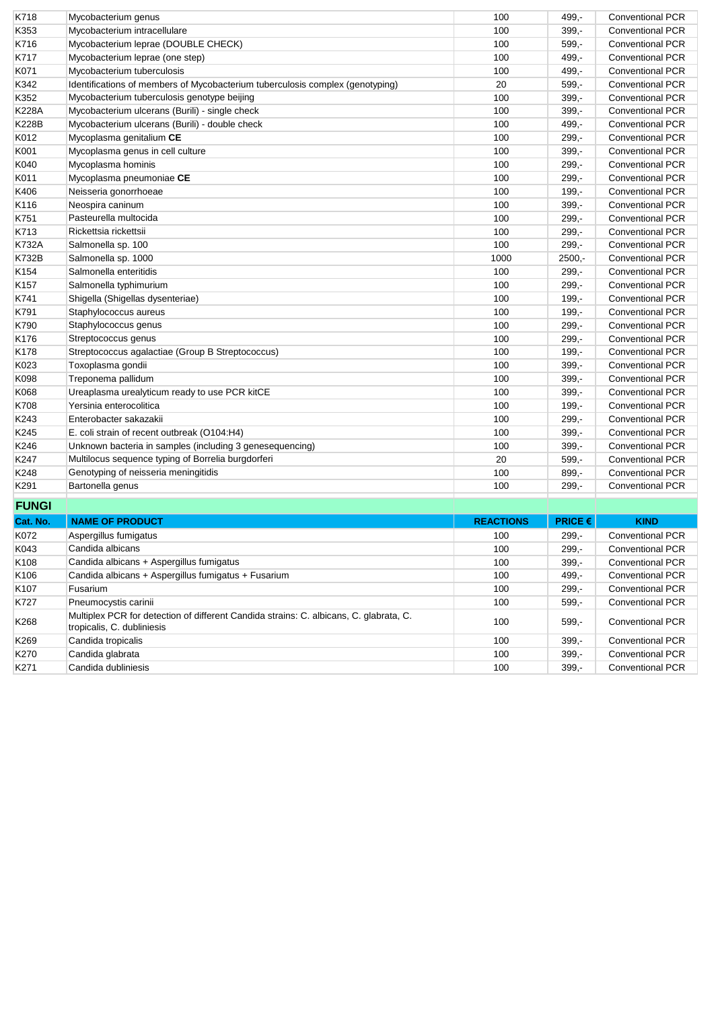| K718             | Mycobacterium genus                                                           | 100              | 499.-                              | <b>Conventional PCR</b> |
|------------------|-------------------------------------------------------------------------------|------------------|------------------------------------|-------------------------|
| K353             | Mycobacterium intracellulare                                                  | 100              | $399. -$                           | <b>Conventional PCR</b> |
| K716             | Mycobacterium leprae (DOUBLE CHECK)                                           | 100              | $599. -$                           | <b>Conventional PCR</b> |
| K717             | Mycobacterium leprae (one step)                                               | 100              | 499.-                              | <b>Conventional PCR</b> |
| K071             | Mycobacterium tuberculosis                                                    | 100              | $499. -$                           | <b>Conventional PCR</b> |
| K342             | Identifications of members of Mycobacterium tuberculosis complex (genotyping) | 20               | 599,-                              | <b>Conventional PCR</b> |
| K352             | Mycobacterium tuberculosis genotype beijing                                   | 100              | 399,-                              | <b>Conventional PCR</b> |
| <b>K228A</b>     | Mycobacterium ulcerans (Burili) - single check                                | 100              | $399 -$                            | <b>Conventional PCR</b> |
| <b>K228B</b>     | Mycobacterium ulcerans (Burili) - double check                                | 100              | 499,-                              | <b>Conventional PCR</b> |
| K012             | Mycoplasma genitalium CE                                                      | 100              | $299 -$                            | <b>Conventional PCR</b> |
| K001             | Mycoplasma genus in cell culture                                              | 100              | 399,-                              | <b>Conventional PCR</b> |
| K040             | Mycoplasma hominis                                                            | 100              | $299 -$                            | <b>Conventional PCR</b> |
| K011             | Mycoplasma pneumoniae CE                                                      | 100              | $299 -$                            | <b>Conventional PCR</b> |
| K406             | Neisseria gonorrhoeae                                                         | 100              | $199 -$                            | <b>Conventional PCR</b> |
| K116             | Neospira caninum                                                              | 100              | $399,-$                            | <b>Conventional PCR</b> |
| K751             | Pasteurella multocida                                                         | 100              | $299 -$                            | <b>Conventional PCR</b> |
| K713             | Rickettsia rickettsii                                                         | 100              | $299 -$                            | <b>Conventional PCR</b> |
| <b>K732A</b>     | Salmonella sp. 100                                                            | 100              | $299,-$                            | <b>Conventional PCR</b> |
| <b>K732B</b>     | Salmonella sp. 1000                                                           | 1000             | $2500 -$                           | <b>Conventional PCR</b> |
| K154             | Salmonella enteritidis                                                        | 100              | $299,-$                            | <b>Conventional PCR</b> |
| K <sub>157</sub> | Salmonella typhimurium                                                        | 100              | 299,-                              | <b>Conventional PCR</b> |
| K741             | Shigella (Shigellas dysenteriae)                                              | 100              | $199. -$                           | <b>Conventional PCR</b> |
| K791             | Staphylococcus aureus                                                         | 100              | $199. -$                           | <b>Conventional PCR</b> |
| K790             | Staphylococcus genus                                                          | 100              | $299. -$                           | <b>Conventional PCR</b> |
| K176             | Streptococcus genus                                                           | 100              | $299 -$                            | <b>Conventional PCR</b> |
| K178             | Streptococcus agalactiae (Group B Streptococcus)                              | 100              | $199. -$                           | <b>Conventional PCR</b> |
| K023             | Toxoplasma gondii                                                             | 100              | 399,-                              | <b>Conventional PCR</b> |
| K098             | Treponema pallidum                                                            | 100              | 399,-                              | <b>Conventional PCR</b> |
| K068             | Ureaplasma urealyticum ready to use PCR kitCE                                 | 100              | 399,-                              | <b>Conventional PCR</b> |
| K708             | Yersinia enterocolitica                                                       | 100              | $199. -$                           | <b>Conventional PCR</b> |
| K243             | Enterobacter sakazakii                                                        | 100              | $299 -$                            | <b>Conventional PCR</b> |
| K245             | E. coli strain of recent outbreak (O104:H4)                                   | 100              | $399 -$                            | <b>Conventional PCR</b> |
| K246             | Unknown bacteria in samples (including 3 genesequencing)                      | 100              | $399 -$                            | <b>Conventional PCR</b> |
| K247             | Multilocus sequence typing of Borrelia burgdorferi                            | 20               | $599 -$                            | <b>Conventional PCR</b> |
| K248             | Genotyping of neisseria meningitidis                                          | 100              | $899 -$                            | <b>Conventional PCR</b> |
| K291             | Bartonella genus                                                              | 100              | $299 -$                            | <b>Conventional PCR</b> |
| <b>FUNGI</b>     |                                                                               |                  |                                    |                         |
| Cat. No.         | <b>NAME OF PRODUCT</b>                                                        | <b>REACTIONS</b> | <b>PRICE <math>\epsilon</math></b> | <b>KIND</b>             |
| K072             | Aspergillus fumigatus                                                         | 100              | $299,-$                            | <b>Conventional PCR</b> |
| 1/0.42           | Condido olhioppo                                                              | 100              | 200                                | Conventional DCD        |

| vat. nv.         | NAME OF FRODUCT                                                                                                      | neaviiving | <b>FINDLE</b> | .                       |
|------------------|----------------------------------------------------------------------------------------------------------------------|------------|---------------|-------------------------|
| K072             | Aspergillus fumigatus                                                                                                | 100        | $299 -$       | <b>Conventional PCR</b> |
| K043             | Candida albicans                                                                                                     | 100        | $299 -$       | <b>Conventional PCR</b> |
| K <sub>108</sub> | Candida albicans + Aspergillus fumigatus                                                                             | 100        | $399 -$       | <b>Conventional PCR</b> |
| K <sub>106</sub> | Candida albicans + Aspergillus fumigatus + Fusarium                                                                  | 100        | 499,-         | <b>Conventional PCR</b> |
| K <sub>107</sub> | <b>Fusarium</b>                                                                                                      | 100        | $299 -$       | <b>Conventional PCR</b> |
| K727             | Pneumocystis carinii                                                                                                 | 100        | $599 -$       | <b>Conventional PCR</b> |
| K268             | Multiplex PCR for detection of different Candida strains: C. albicans, C. glabrata, C.<br>tropicalis, C. dubliniesis | 100        | $599 -$       | <b>Conventional PCR</b> |
| K269             | Candida tropicalis                                                                                                   | 100        | $399 -$       | <b>Conventional PCR</b> |
| K270             | Candida glabrata                                                                                                     | 100        | $399 -$       | <b>Conventional PCR</b> |
| K271             | Candida dubliniesis                                                                                                  | 100        | $399. -$      | <b>Conventional PCR</b> |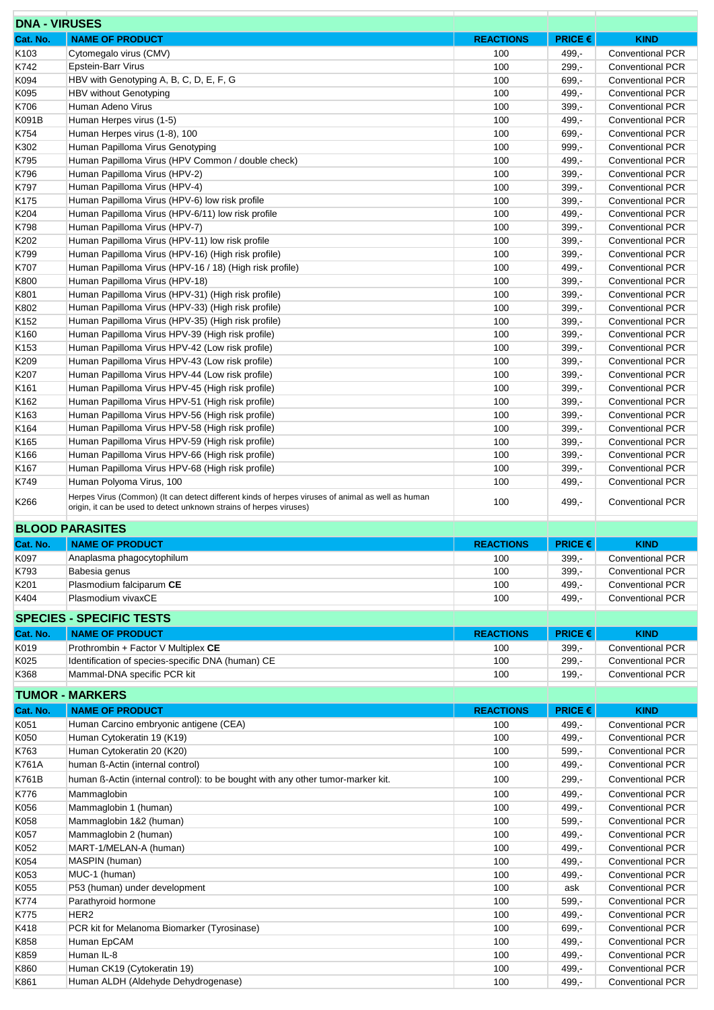| <b>DNA - VIRUSES</b> |                                                                                                                                                                          |                  |                |                                                    |
|----------------------|--------------------------------------------------------------------------------------------------------------------------------------------------------------------------|------------------|----------------|----------------------------------------------------|
| Cat. No.             | <b>NAME OF PRODUCT</b>                                                                                                                                                   | <b>REACTIONS</b> | PRICE€         | <b>KIND</b>                                        |
| K103                 | Cytomegalo virus (CMV)                                                                                                                                                   | 100              | $499,-$        | <b>Conventional PCR</b>                            |
| K742                 | <b>Epstein-Barr Virus</b>                                                                                                                                                | 100              | $299 -$        | <b>Conventional PCR</b>                            |
| K094                 | HBV with Genotyping A, B, C, D, E, F, G                                                                                                                                  | 100              | 699,-          | <b>Conventional PCR</b>                            |
| K095                 | HBV without Genotyping                                                                                                                                                   | 100              | $499,-$        | <b>Conventional PCR</b>                            |
| K706                 | Human Adeno Virus                                                                                                                                                        | 100              | $399,-$        | <b>Conventional PCR</b>                            |
| K091B                | Human Herpes virus (1-5)                                                                                                                                                 | 100              | $499,-$        | <b>Conventional PCR</b>                            |
| K754                 | Human Herpes virus (1-8), 100                                                                                                                                            | 100              | 699,-          | <b>Conventional PCR</b>                            |
| K302                 | Human Papilloma Virus Genotyping                                                                                                                                         | 100              | $999,-$        | <b>Conventional PCR</b>                            |
| K795                 | Human Papilloma Virus (HPV Common / double check)                                                                                                                        | 100              | $499 -$        | <b>Conventional PCR</b>                            |
| K796                 | Human Papilloma Virus (HPV-2)                                                                                                                                            | 100              | $399,-$        | <b>Conventional PCR</b>                            |
| K797                 | Human Papilloma Virus (HPV-4)                                                                                                                                            | 100              | $399,-$        | <b>Conventional PCR</b>                            |
| K <sub>175</sub>     | Human Papilloma Virus (HPV-6) low risk profile                                                                                                                           | 100              | $399,-$        | <b>Conventional PCR</b>                            |
| K204                 | Human Papilloma Virus (HPV-6/11) low risk profile                                                                                                                        | 100              | $499,-$        | <b>Conventional PCR</b>                            |
| K798                 | Human Papilloma Virus (HPV-7)                                                                                                                                            | 100              | $399,-$        | <b>Conventional PCR</b>                            |
| K202                 | Human Papilloma Virus (HPV-11) low risk profile                                                                                                                          | 100              | $399,-$        | <b>Conventional PCR</b>                            |
| K799                 | Human Papilloma Virus (HPV-16) (High risk profile)                                                                                                                       | 100              | $399,-$        | <b>Conventional PCR</b>                            |
| K707                 | Human Papilloma Virus (HPV-16 / 18) (High risk profile)                                                                                                                  | 100              | 499,-          | <b>Conventional PCR</b>                            |
| K800                 | Human Papilloma Virus (HPV-18)                                                                                                                                           | 100              | $399,-$        | <b>Conventional PCR</b>                            |
| K801                 | Human Papilloma Virus (HPV-31) (High risk profile)                                                                                                                       | 100              | $399,-$        | <b>Conventional PCR</b>                            |
| K802                 | Human Papilloma Virus (HPV-33) (High risk profile)                                                                                                                       | 100              | $399 -$        | <b>Conventional PCR</b>                            |
| K152                 | Human Papilloma Virus (HPV-35) (High risk profile)                                                                                                                       | 100              | $399,-$        | <b>Conventional PCR</b>                            |
| K <sub>160</sub>     | Human Papilloma Virus HPV-39 (High risk profile)                                                                                                                         | 100              | $399,-$        | <b>Conventional PCR</b>                            |
| K <sub>153</sub>     | Human Papilloma Virus HPV-42 (Low risk profile)                                                                                                                          | 100              | $399,-$        | <b>Conventional PCR</b>                            |
| K209                 | Human Papilloma Virus HPV-43 (Low risk profile)                                                                                                                          | 100              | $399,-$        | <b>Conventional PCR</b>                            |
| K207                 | Human Papilloma Virus HPV-44 (Low risk profile)                                                                                                                          | 100              | $399,-$        | <b>Conventional PCR</b>                            |
| K <sub>161</sub>     | Human Papilloma Virus HPV-45 (High risk profile)                                                                                                                         | 100              | $399,-$        | <b>Conventional PCR</b>                            |
| K162                 | Human Papilloma Virus HPV-51 (High risk profile)                                                                                                                         | 100              | $399,-$        | <b>Conventional PCR</b>                            |
| K163                 | Human Papilloma Virus HPV-56 (High risk profile)                                                                                                                         | 100              | $399,-$        | <b>Conventional PCR</b>                            |
| K <sub>164</sub>     | Human Papilloma Virus HPV-58 (High risk profile)                                                                                                                         | 100              | $399,-$        | <b>Conventional PCR</b>                            |
| K <sub>165</sub>     | Human Papilloma Virus HPV-59 (High risk profile)                                                                                                                         | 100              | $399,-$        | <b>Conventional PCR</b>                            |
| K166                 | Human Papilloma Virus HPV-66 (High risk profile)                                                                                                                         | 100              | $399,-$        | <b>Conventional PCR</b>                            |
| K167                 | Human Papilloma Virus HPV-68 (High risk profile)                                                                                                                         | 100              | $399,-$        | <b>Conventional PCR</b>                            |
| K749                 | Human Polyoma Virus, 100                                                                                                                                                 | 100              | $499,-$        | <b>Conventional PCR</b>                            |
| K266                 | Herpes Virus (Common) (It can detect different kinds of herpes viruses of animal as well as human<br>origin, it can be used to detect unknown strains of herpes viruses) | 100              | 499,-          | <b>Conventional PCR</b>                            |
|                      | <b>BLOOD PARASITES</b>                                                                                                                                                   |                  |                |                                                    |
| Cat. No.             | <b>NAME OF PRODUCT</b>                                                                                                                                                   | <b>REACTIONS</b> | <b>PRICE €</b> | <b>KIND</b>                                        |
| K097                 | Anaplasma phagocytophilum                                                                                                                                                | 100              | 399,-          | <b>Conventional PCR</b>                            |
| K793                 | Babesia genus                                                                                                                                                            | 100              | $399,-$        | <b>Conventional PCR</b>                            |
| K201                 | Plasmodium falciparum CE                                                                                                                                                 | 100              | $499. -$       | <b>Conventional PCR</b>                            |
| K404                 | Plasmodium vivaxCE                                                                                                                                                       | 100              | $499. -$       | <b>Conventional PCR</b>                            |
|                      |                                                                                                                                                                          |                  |                |                                                    |
|                      | <b>SPECIES - SPECIFIC TESTS</b>                                                                                                                                          |                  |                |                                                    |
| Cat. No.             | <b>NAME OF PRODUCT</b>                                                                                                                                                   | <b>REACTIONS</b> | PRICE €        | <b>KIND</b>                                        |
| K019                 | Prothrombin + Factor V Multiplex CE                                                                                                                                      | 100              | $399,-$        | <b>Conventional PCR</b>                            |
| K025                 | Identification of species-specific DNA (human) CE                                                                                                                        | 100              | $299 -$        | <b>Conventional PCR</b>                            |
| K368                 | Mammal-DNA specific PCR kit                                                                                                                                              | 100              |                |                                                    |
|                      |                                                                                                                                                                          |                  | $199, -$       | <b>Conventional PCR</b>                            |
| Cat. No.             |                                                                                                                                                                          |                  |                |                                                    |
|                      | <b>TUMOR - MARKERS</b>                                                                                                                                                   |                  |                |                                                    |
|                      | <b>NAME OF PRODUCT</b>                                                                                                                                                   | <b>REACTIONS</b> | PRICE €        | <b>KIND</b>                                        |
| K051                 | Human Carcino embryonic antigene (CEA)                                                                                                                                   | 100              | 499,-          | <b>Conventional PCR</b>                            |
| K050                 | Human Cytokeratin 19 (K19)                                                                                                                                               | 100              | 499,-          | <b>Conventional PCR</b>                            |
| K763                 | Human Cytokeratin 20 (K20)                                                                                                                                               | 100              | $599. -$       | <b>Conventional PCR</b>                            |
| K761A                | human ß-Actin (internal control)                                                                                                                                         | 100              | 499,-          | <b>Conventional PCR</b>                            |
| K761B                | human ß-Actin (internal control): to be bought with any other tumor-marker kit.                                                                                          | 100              | $299 -$        | <b>Conventional PCR</b>                            |
| K776                 | Mammaglobin                                                                                                                                                              | 100              | 499,-          | <b>Conventional PCR</b>                            |
| K056                 | Mammaglobin 1 (human)                                                                                                                                                    | 100              | 499,-          | <b>Conventional PCR</b>                            |
| K058                 | Mammaglobin 1&2 (human)                                                                                                                                                  | 100              | $599,-$        | <b>Conventional PCR</b>                            |
| K057                 | Mammaglobin 2 (human)                                                                                                                                                    | 100              | 499,-          | <b>Conventional PCR</b>                            |
| K052                 | MART-1/MELAN-A (human)                                                                                                                                                   | 100              | $499, -$       | <b>Conventional PCR</b>                            |
| K054                 | MASPIN (human)                                                                                                                                                           | 100              | 499,-          | <b>Conventional PCR</b>                            |
| K053                 | MUC-1 (human)                                                                                                                                                            | 100              | 499,-          | <b>Conventional PCR</b>                            |
| K055                 | P53 (human) under development                                                                                                                                            | 100              | ask            | <b>Conventional PCR</b>                            |
| K774                 | Parathyroid hormone                                                                                                                                                      | 100              | $599,-$        | Conventional PCR                                   |
| K775                 | HER2                                                                                                                                                                     | 100              | 499,-          | <b>Conventional PCR</b>                            |
| K418                 | PCR kit for Melanoma Biomarker (Tyrosinase)                                                                                                                              | 100              | $699,-$        | <b>Conventional PCR</b>                            |
| K858                 | Human EpCAM                                                                                                                                                              | 100              | 499,-          | <b>Conventional PCR</b>                            |
| K859                 | Human IL-8                                                                                                                                                               | 100              | 499,-          | <b>Conventional PCR</b>                            |
| K860<br>K861         | Human CK19 (Cytokeratin 19)<br>Human ALDH (Aldehyde Dehydrogenase)                                                                                                       | 100<br>100       | 499,-<br>499,- | <b>Conventional PCR</b><br><b>Conventional PCR</b> |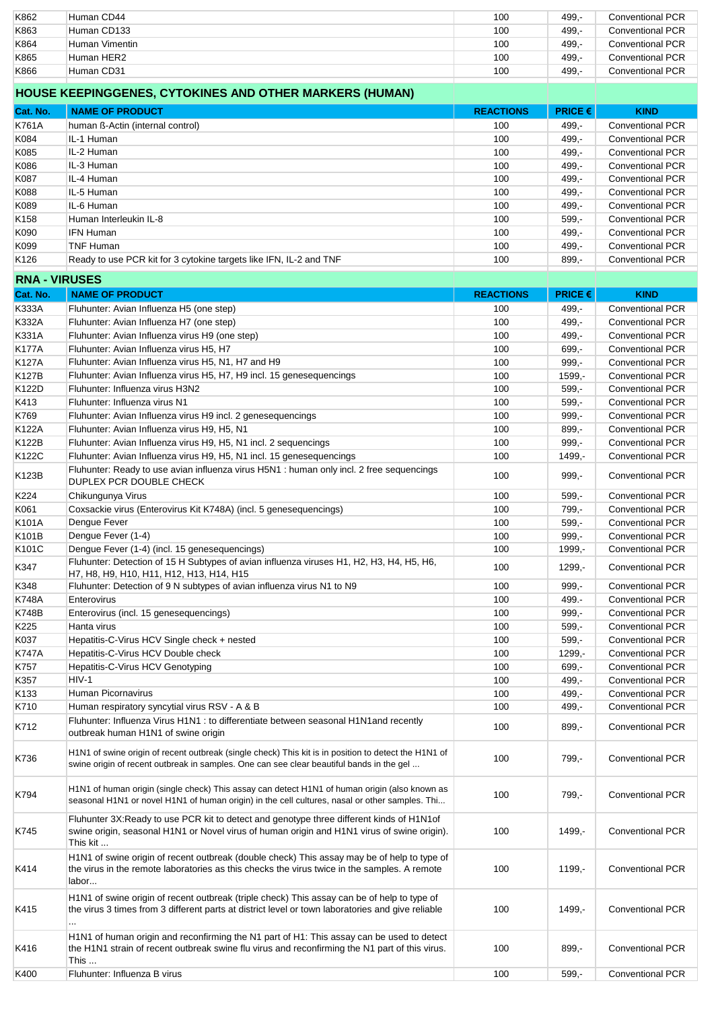| K862                 | Human CD44                                                                                           | 100              | $499 -$                            | <b>Conventional PCR</b> |
|----------------------|------------------------------------------------------------------------------------------------------|------------------|------------------------------------|-------------------------|
| K863                 | Human CD133                                                                                          | 100              | 499,-                              | <b>Conventional PCR</b> |
| K864                 | Human Vimentin                                                                                       | 100              | $499 -$                            | <b>Conventional PCR</b> |
|                      |                                                                                                      |                  |                                    |                         |
| K865                 | Human HER2                                                                                           | 100              | $499. -$                           | <b>Conventional PCR</b> |
| K866                 | Human CD31                                                                                           | 100              | $499. -$                           | <b>Conventional PCR</b> |
|                      |                                                                                                      |                  |                                    |                         |
|                      | HOUSE KEEPINGGENES, CYTOKINES AND OTHER MARKERS (HUMAN)                                              |                  |                                    |                         |
|                      |                                                                                                      |                  |                                    |                         |
| Cat. No.             | <b>NAME OF PRODUCT</b>                                                                               | <b>REACTIONS</b> | <b>PRICE <math>\epsilon</math></b> | <b>KIND</b>             |
|                      |                                                                                                      |                  |                                    |                         |
| K761A                | human ß-Actin (internal control)                                                                     | 100              | $499 -$                            | <b>Conventional PCR</b> |
| K084                 | IL-1 Human                                                                                           | 100              | 499,-                              | <b>Conventional PCR</b> |
|                      |                                                                                                      |                  |                                    |                         |
| K085                 | IL-2 Human                                                                                           | 100              | $499 -$                            | <b>Conventional PCR</b> |
| K086                 | IL-3 Human                                                                                           | 100              | 499,-                              | <b>Conventional PCR</b> |
| K087                 | IL-4 Human                                                                                           | 100              | $499 -$                            | <b>Conventional PCR</b> |
|                      |                                                                                                      |                  |                                    |                         |
| K088                 | IL-5 Human                                                                                           | 100              | 499,-                              | <b>Conventional PCR</b> |
| K089                 | IL-6 Human                                                                                           | 100              | $499 -$                            | <b>Conventional PCR</b> |
|                      |                                                                                                      |                  |                                    |                         |
| K158                 | Human Interleukin IL-8                                                                               | 100              | $599. -$                           | <b>Conventional PCR</b> |
| K090                 | <b>IFN Human</b>                                                                                     | 100              | $499. -$                           | <b>Conventional PCR</b> |
| K099                 | <b>TNF Human</b>                                                                                     | 100              | $499,-$                            | <b>Conventional PCR</b> |
|                      |                                                                                                      |                  |                                    |                         |
| K <sub>126</sub>     | Ready to use PCR kit for 3 cytokine targets like IFN, IL-2 and TNF                                   | 100              | $899 -$                            | <b>Conventional PCR</b> |
|                      |                                                                                                      |                  |                                    |                         |
| <b>RNA - VIRUSES</b> |                                                                                                      |                  |                                    |                         |
|                      |                                                                                                      |                  |                                    |                         |
| Cat. No.             | <b>NAME OF PRODUCT</b>                                                                               | <b>REACTIONS</b> | PRICE€                             | <b>KIND</b>             |
| <b>K333A</b>         | Fluhunter: Avian Influenza H5 (one step)                                                             | 100              | $499 -$                            | <b>Conventional PCR</b> |
| K332A                | Fluhunter: Avian Influenza H7 (one step)                                                             | 100              | 499,-                              | <b>Conventional PCR</b> |
|                      |                                                                                                      |                  |                                    |                         |
| K331A                | Fluhunter: Avian Influenza virus H9 (one step)                                                       | 100              | $499 -$                            | <b>Conventional PCR</b> |
| <b>K177A</b>         | Fluhunter: Avian Influenza virus H5, H7                                                              | 100              | 699,-                              | <b>Conventional PCR</b> |
|                      |                                                                                                      |                  |                                    |                         |
| <b>K127A</b>         | Fluhunter: Avian Influenza virus H5, N1, H7 and H9                                                   | 100              | $999 -$                            | <b>Conventional PCR</b> |
| <b>K127B</b>         | Fluhunter: Avian Influenza virus H5, H7, H9 incl. 15 genesequencings                                 | 100              | $1599. -$                          | <b>Conventional PCR</b> |
| K122D                | Fluhunter: Influenza virus H3N2                                                                      | 100              | $599. -$                           | <b>Conventional PCR</b> |
|                      |                                                                                                      |                  |                                    |                         |
| K413                 | Fluhunter: Influenza virus N1                                                                        | 100              | $599 -$                            | <b>Conventional PCR</b> |
| K769                 | Fluhunter: Avian Influenza virus H9 incl. 2 genesequencings                                          | 100              | $999,-$                            | <b>Conventional PCR</b> |
|                      |                                                                                                      |                  |                                    |                         |
| <b>K122A</b>         | Fluhunter: Avian Influenza virus H9, H5, N1                                                          | 100              | $899 -$                            | <b>Conventional PCR</b> |
| K122B                | Fluhunter: Avian Influenza virus H9, H5, N1 incl. 2 sequencings                                      | 100              | $999,-$                            | <b>Conventional PCR</b> |
|                      |                                                                                                      |                  |                                    |                         |
| K122C                | Fluhunter: Avian Influenza virus H9, H5, N1 incl. 15 genesequencings                                 | 100              | 1499,-                             | <b>Conventional PCR</b> |
|                      | Fluhunter: Ready to use avian influenza virus H5N1 : human only incl. 2 free sequencings             |                  |                                    |                         |
| K123B                | DUPLEX PCR DOUBLE CHECK                                                                              | 100              | $999 -$                            | <b>Conventional PCR</b> |
|                      |                                                                                                      |                  |                                    |                         |
| K224                 | Chikungunya Virus                                                                                    | 100              | $599 -$                            | <b>Conventional PCR</b> |
| K061                 | Coxsackie virus (Enterovirus Kit K748A) (incl. 5 genesequencings)                                    | 100              | 799,-                              | <b>Conventional PCR</b> |
|                      |                                                                                                      |                  |                                    |                         |
| K101A                | Dengue Fever                                                                                         | 100              | $599,-$                            | <b>Conventional PCR</b> |
| K101B                | Dengue Fever (1-4)                                                                                   | 100              | $999 -$                            | <b>Conventional PCR</b> |
|                      |                                                                                                      |                  |                                    |                         |
| K101C                | Dengue Fever (1-4) (incl. 15 genesequencings)                                                        | 100              | 1999,-                             | <b>Conventional PCR</b> |
| K347                 | Fluhunter: Detection of 15 H Subtypes of avian influenza viruses H1, H2, H3, H4, H5, H6,             | 100              | $1299,-$                           | <b>Conventional PCR</b> |
|                      | H7, H8, H9, H10, H11, H12, H13, H14, H15                                                             |                  |                                    |                         |
| K348                 | Fluhunter: Detection of 9 N subtypes of avian influenza virus N1 to N9                               | 100              | $999,-$                            | <b>Conventional PCR</b> |
|                      |                                                                                                      |                  |                                    |                         |
| <b>K748A</b>         | Enterovirus                                                                                          | 100              | 499.-                              | <b>Conventional PCR</b> |
| <b>K748B</b>         | Enterovirus (incl. 15 genesequencings)                                                               | 100              | $999,-$                            | <b>Conventional PCR</b> |
|                      |                                                                                                      |                  |                                    |                         |
| K225                 | Hanta virus                                                                                          | 100              | 599,-                              | <b>Conventional PCR</b> |
| K037                 | Hepatitis-C-Virus HCV Single check + nested                                                          | 100              | $599,-$                            | Conventional PCR        |
|                      |                                                                                                      |                  |                                    |                         |
| <b>K747A</b>         | Hepatitis-C-Virus HCV Double check                                                                   | 100              | 1299,-                             | <b>Conventional PCR</b> |
| K757                 | Hepatitis-C-Virus HCV Genotyping                                                                     | 100              | $699,-$                            | <b>Conventional PCR</b> |
| K357                 | $HIV-1$                                                                                              | 100              | 499,-                              | Conventional PCR        |
|                      |                                                                                                      |                  |                                    |                         |
| K133                 | Human Picornavirus                                                                                   | 100              | 499,-                              | <b>Conventional PCR</b> |
| K710                 | Human respiratory syncytial virus RSV - A & B                                                        | 100              | 499,-                              | <b>Conventional PCR</b> |
|                      |                                                                                                      |                  |                                    |                         |
| K712                 | Fluhunter: Influenza Virus H1N1 : to differentiate between seasonal H1N1and recently                 | 100              | $899,-$                            | Conventional PCR        |
|                      | outbreak human H1N1 of swine origin                                                                  |                  |                                    |                         |
|                      |                                                                                                      |                  |                                    |                         |
|                      | H1N1 of swine origin of recent outbreak (single check) This kit is in position to detect the H1N1 of |                  |                                    |                         |
| K736                 | swine origin of recent outbreak in samples. One can see clear beautiful bands in the gel             | 100              | 799,-                              | <b>Conventional PCR</b> |
|                      |                                                                                                      |                  |                                    |                         |
|                      |                                                                                                      |                  |                                    |                         |
|                      | H1N1 of human origin (single check) This assay can detect H1N1 of human origin (also known as        |                  |                                    |                         |
| K794                 | seasonal H1N1 or novel H1N1 of human origin) in the cell cultures, nasal or other samples. Thi       | 100              | 799,-                              | <b>Conventional PCR</b> |
|                      |                                                                                                      |                  |                                    |                         |
|                      | Fluhunter 3X: Ready to use PCR kit to detect and genotype three different kinds of H1N1of            |                  |                                    |                         |
|                      |                                                                                                      |                  |                                    |                         |
| K745                 | swine origin, seasonal H1N1 or Novel virus of human origin and H1N1 virus of swine origin).          | 100              | 1499,-                             | <b>Conventional PCR</b> |
|                      | This kit                                                                                             |                  |                                    |                         |
|                      | H1N1 of swine origin of recent outbreak (double check) This assay may be of help to type of          |                  |                                    |                         |
|                      |                                                                                                      |                  |                                    |                         |
| K414                 | the virus in the remote laboratories as this checks the virus twice in the samples. A remote         | 100              | 1199,-                             | <b>Conventional PCR</b> |
|                      | labor                                                                                                |                  |                                    |                         |
|                      |                                                                                                      |                  |                                    |                         |
|                      | H1N1 of swine origin of recent outbreak (triple check) This assay can be of help to type of          |                  |                                    |                         |
| K415                 | the virus 3 times from 3 different parts at district level or town laboratories and give reliable    | 100              | 1499,-                             | <b>Conventional PCR</b> |
|                      |                                                                                                      |                  |                                    |                         |
|                      |                                                                                                      |                  |                                    |                         |
|                      | H1N1 of human origin and reconfirming the N1 part of H1: This assay can be used to detect            |                  |                                    |                         |
| K416                 | the H1N1 strain of recent outbreak swine flu virus and reconfirming the N1 part of this virus.       | 100              | $899,-$                            | <b>Conventional PCR</b> |
|                      | This                                                                                                 |                  |                                    |                         |
| K400                 | Fluhunter: Influenza B virus                                                                         |                  |                                    |                         |
|                      |                                                                                                      | 100              | $599. -$                           | Conventional PCR        |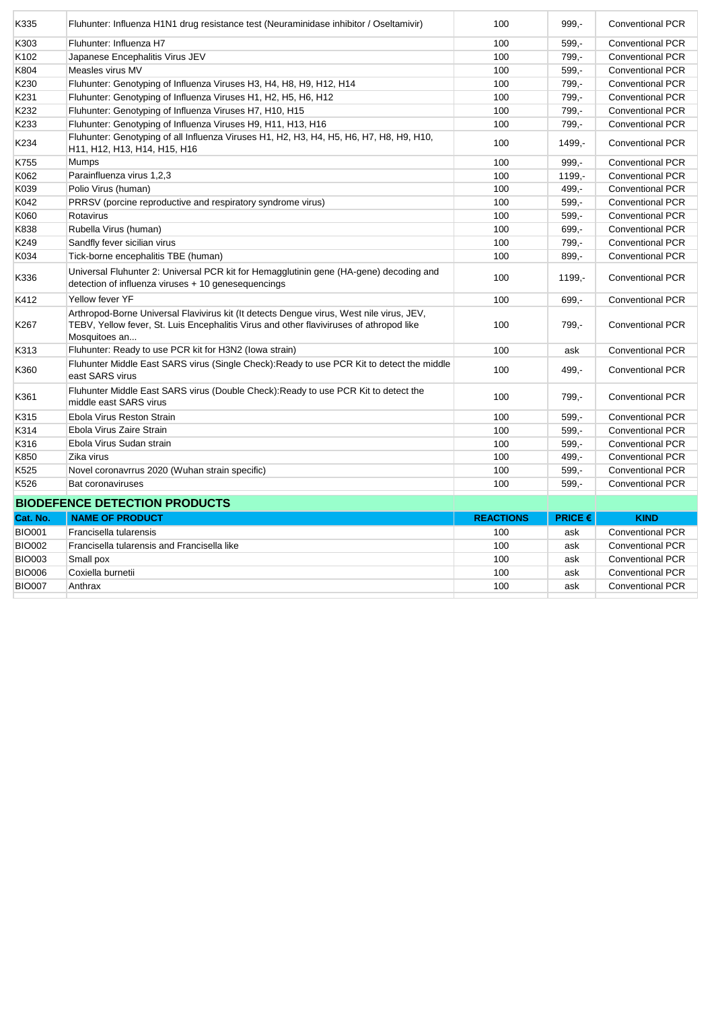| K335          | Fluhunter: Influenza H1N1 drug resistance test (Neuraminidase inhibitor / Oseltamivir)                                                                                                               | 100              | 999,-     | <b>Conventional PCR</b> |
|---------------|------------------------------------------------------------------------------------------------------------------------------------------------------------------------------------------------------|------------------|-----------|-------------------------|
| K303          | Fluhunter: Influenza H7                                                                                                                                                                              | 100              | $599. -$  | <b>Conventional PCR</b> |
| K102          | Japanese Encephalitis Virus JEV                                                                                                                                                                      | 100              | 799,-     | <b>Conventional PCR</b> |
| K804          | Measles virus MV                                                                                                                                                                                     | 100              | $599. -$  | <b>Conventional PCR</b> |
| K230          | Fluhunter: Genotyping of Influenza Viruses H3, H4, H8, H9, H12, H14                                                                                                                                  | 100              | 799,-     | <b>Conventional PCR</b> |
| K231          | Fluhunter: Genotyping of Influenza Viruses H1, H2, H5, H6, H12                                                                                                                                       | 100              | 799,-     | <b>Conventional PCR</b> |
| K232          | Fluhunter: Genotyping of Influenza Viruses H7, H10, H15                                                                                                                                              | 100              | 799,-     | <b>Conventional PCR</b> |
| K233          | Fluhunter: Genotyping of Influenza Viruses H9, H11, H13, H16                                                                                                                                         | 100              | 799,-     | <b>Conventional PCR</b> |
| K234          | Fluhunter: Genotyping of all Influenza Viruses H1, H2, H3, H4, H5, H6, H7, H8, H9, H10,<br>H11, H12, H13, H14, H15, H16                                                                              | 100              | 1499,-    | <b>Conventional PCR</b> |
| K755          | Mumps                                                                                                                                                                                                | 100              | $999 -$   | <b>Conventional PCR</b> |
| K062          | Parainfluenza virus 1,2,3                                                                                                                                                                            | 100              | $1199. -$ | <b>Conventional PCR</b> |
| K039          | Polio Virus (human)                                                                                                                                                                                  | 100              | 499.-     | <b>Conventional PCR</b> |
| K042          | PRRSV (porcine reproductive and respiratory syndrome virus)                                                                                                                                          | 100              | $599. -$  | <b>Conventional PCR</b> |
| K060          | Rotavirus                                                                                                                                                                                            | 100              | $599 -$   | <b>Conventional PCR</b> |
| K838          | Rubella Virus (human)                                                                                                                                                                                | 100              | 699,-     | <b>Conventional PCR</b> |
| K249          | Sandfly fever sicilian virus                                                                                                                                                                         | 100              | 799,-     | <b>Conventional PCR</b> |
| K034          | Tick-borne encephalitis TBE (human)                                                                                                                                                                  | 100              | 899,-     | <b>Conventional PCR</b> |
| K336          | Universal Fluhunter 2: Universal PCR kit for Hemagglutinin gene (HA-gene) decoding and<br>detection of influenza viruses + 10 genesequencings                                                        | 100              | 1199,-    | <b>Conventional PCR</b> |
| K412          | Yellow fever YF                                                                                                                                                                                      | 100              | 699.-     | <b>Conventional PCR</b> |
| K267          | Arthropod-Borne Universal Flavivirus kit (It detects Dengue virus, West nile virus, JEV,<br>TEBV, Yellow fever, St. Luis Encephalitis Virus and other flaviviruses of athropod like<br>Mosquitoes an | 100              | 799,-     | <b>Conventional PCR</b> |
| K313          | Fluhunter: Ready to use PCR kit for H3N2 (lowa strain)                                                                                                                                               | 100              | ask       | <b>Conventional PCR</b> |
| K360          | Fluhunter Middle East SARS virus (Single Check): Ready to use PCR Kit to detect the middle<br>east SARS virus                                                                                        | 100              | 499.-     | <b>Conventional PCR</b> |
| K361          | Fluhunter Middle East SARS virus (Double Check): Ready to use PCR Kit to detect the<br>middle east SARS virus                                                                                        | 100              | 799,-     | <b>Conventional PCR</b> |
| K315          | Ebola Virus Reston Strain                                                                                                                                                                            | 100              | $599,-$   | <b>Conventional PCR</b> |
| K314          | Ebola Virus Zaire Strain                                                                                                                                                                             | 100              | $599 -$   | Conventional PCR        |
| K316          | Ebola Virus Sudan strain                                                                                                                                                                             | 100              | $599. -$  | <b>Conventional PCR</b> |
| K850          | Zika virus                                                                                                                                                                                           | 100              | 499,-     | <b>Conventional PCR</b> |
| K525          | Novel coronavrrus 2020 (Wuhan strain specific)                                                                                                                                                       | 100              | $599. -$  | <b>Conventional PCR</b> |
| K526          | Bat coronaviruses                                                                                                                                                                                    | 100              | $599. -$  | <b>Conventional PCR</b> |
|               | <b>BIODEFENCE DETECTION PRODUCTS</b>                                                                                                                                                                 |                  |           |                         |
| Cat. No.      | <b>NAME OF PRODUCT</b>                                                                                                                                                                               | <b>REACTIONS</b> | PRICE €   | <b>KIND</b>             |
| <b>BIO001</b> | Francisella tularensis                                                                                                                                                                               | 100              | ask       | <b>Conventional PCR</b> |
| <b>BIO002</b> | Francisella tularensis and Francisella like                                                                                                                                                          | 100              | ask       | <b>Conventional PCR</b> |
| <b>BIO003</b> | Small pox                                                                                                                                                                                            | 100              | ask       | <b>Conventional PCR</b> |
| <b>BIO006</b> | Coxiella burnetii                                                                                                                                                                                    | 100              | ask       | <b>Conventional PCR</b> |
| <b>BIO007</b> | Anthrax                                                                                                                                                                                              | 100              | ask       | <b>Conventional PCR</b> |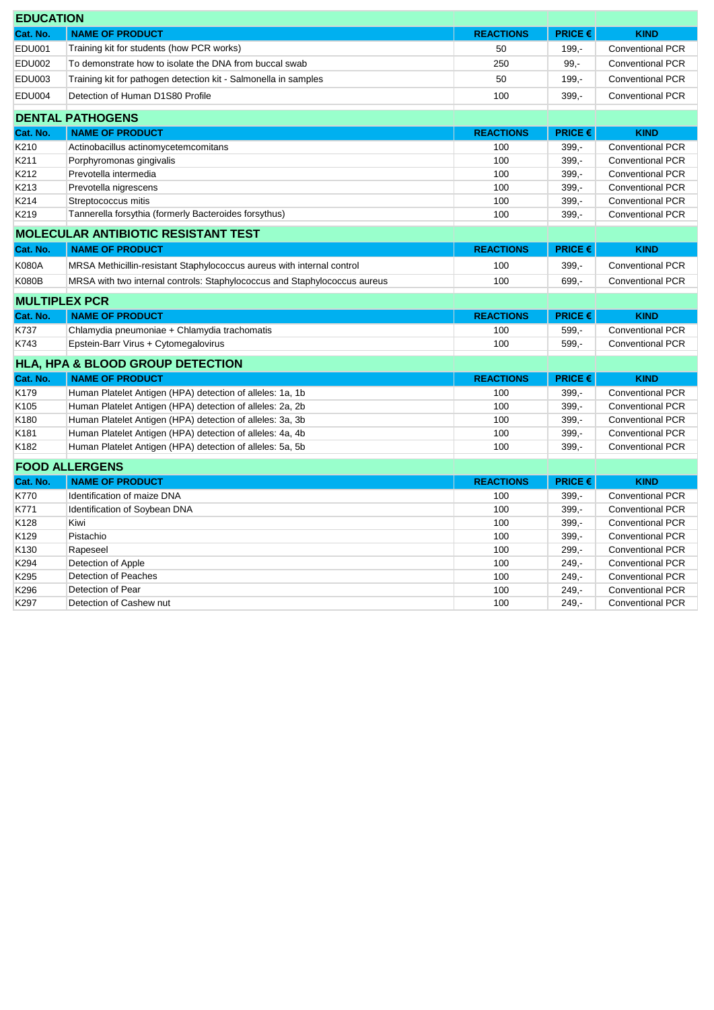| <b>EDUCATION</b> |                                                                           |                  |                                    |                         |
|------------------|---------------------------------------------------------------------------|------------------|------------------------------------|-------------------------|
| Cat. No.         | <b>NAME OF PRODUCT</b>                                                    | <b>REACTIONS</b> | PRICE€                             | <b>KIND</b>             |
| <b>EDU001</b>    | Training kit for students (how PCR works)                                 | 50               | $199. -$                           | <b>Conventional PCR</b> |
| <b>EDU002</b>    | To demonstrate how to isolate the DNA from buccal swab                    | 250              | $99, -$                            | <b>Conventional PCR</b> |
| <b>EDU003</b>    | Training kit for pathogen detection kit - Salmonella in samples           | 50               | $199,-$                            | <b>Conventional PCR</b> |
| <b>EDU004</b>    | Detection of Human D1S80 Profile                                          | 100              | $399. -$                           | <b>Conventional PCR</b> |
|                  | <b>DENTAL PATHOGENS</b>                                                   |                  |                                    |                         |
| Cat. No.         | <b>NAME OF PRODUCT</b>                                                    | <b>REACTIONS</b> | <b>PRICE €</b>                     | <b>KIND</b>             |
| K210             | Actinobacillus actinomycetemcomitans                                      | 100              | $399 -$                            | <b>Conventional PCR</b> |
| K211             | Porphyromonas gingivalis                                                  | 100              | $399,-$                            | <b>Conventional PCR</b> |
| K212             | Prevotella intermedia                                                     | 100              | $399 -$                            | <b>Conventional PCR</b> |
| K213             | Prevotella nigrescens                                                     | 100              | $399 -$                            | <b>Conventional PCR</b> |
| K214             | Streptococcus mitis                                                       | 100              | $399 -$                            | <b>Conventional PCR</b> |
| K219             | Tannerella forsythia (formerly Bacteroides forsythus)                     | 100              | $399. -$                           | <b>Conventional PCR</b> |
|                  | <b>MOLECULAR ANTIBIOTIC RESISTANT TEST</b>                                |                  |                                    |                         |
| Cat. No.         | <b>NAME OF PRODUCT</b>                                                    | <b>REACTIONS</b> | PRICE €                            | <b>KIND</b>             |
| <b>K080A</b>     | MRSA Methicillin-resistant Staphylococcus aureus with internal control    | 100              | $399 -$                            | <b>Conventional PCR</b> |
| <b>K080B</b>     | MRSA with two internal controls: Staphylococcus and Staphylococcus aureus | 100              | 699,-                              | <b>Conventional PCR</b> |
|                  | <b>MULTIPLEX PCR</b>                                                      |                  |                                    |                         |
| Cat. No.         | <b>NAME OF PRODUCT</b>                                                    | <b>REACTIONS</b> | <b>PRICE <math>\epsilon</math></b> | <b>KIND</b>             |
| K737             | Chlamydia pneumoniae + Chlamydia trachomatis                              | 100              | $599. -$                           | <b>Conventional PCR</b> |
| K743             | Epstein-Barr Virus + Cytomegalovirus                                      | 100              | $599 -$                            | <b>Conventional PCR</b> |
|                  | HLA, HPA & BLOOD GROUP DETECTION                                          |                  |                                    |                         |
| Cat. No.         | <b>NAME OF PRODUCT</b>                                                    | <b>REACTIONS</b> | PRICE€                             | <b>KIND</b>             |
| K179             | Human Platelet Antigen (HPA) detection of alleles: 1a, 1b                 | 100              | $399 -$                            | <b>Conventional PCR</b> |
| K105             | Human Platelet Antigen (HPA) detection of alleles: 2a, 2b                 | 100              | $399 -$                            | <b>Conventional PCR</b> |
| K180             | Human Platelet Antigen (HPA) detection of alleles: 3a, 3b                 | 100              | $399 -$                            | <b>Conventional PCR</b> |
| K181             | Human Platelet Antigen (HPA) detection of alleles: 4a, 4b                 | 100              | $399 -$                            | <b>Conventional PCR</b> |
| K182             | Human Platelet Antigen (HPA) detection of alleles: 5a, 5b                 | 100              | $399 -$                            | <b>Conventional PCR</b> |
|                  | <b>FOOD ALLERGENS</b>                                                     |                  |                                    |                         |
| Cat. No.         | <b>NAME OF PRODUCT</b>                                                    | <b>REACTIONS</b> | <b>PRICE <math>\epsilon</math></b> | <b>KIND</b>             |
| K770             | Identification of maize DNA                                               | 100              | $399 -$                            | <b>Conventional PCR</b> |
| K771             | Identification of Soybean DNA                                             | 100              | $399 -$                            | <b>Conventional PCR</b> |
| K128             | Kiwi                                                                      | 100              | $399 -$                            | <b>Conventional PCR</b> |
| K129             | Pistachio                                                                 | 100              | $399. -$                           | <b>Conventional PCR</b> |
| K <sub>130</sub> | Rapeseel                                                                  | 100              | $299 -$                            | <b>Conventional PCR</b> |
| K294             | Detection of Apple                                                        | 100              | $249 -$                            | <b>Conventional PCR</b> |
| K295             | Detection of Peaches                                                      | 100              | $249. -$                           | <b>Conventional PCR</b> |
| K296             | Detection of Pear                                                         | 100              | $249. -$                           | <b>Conventional PCR</b> |

K297 Detection of Cashew nut **100** 249,- Conventional PCR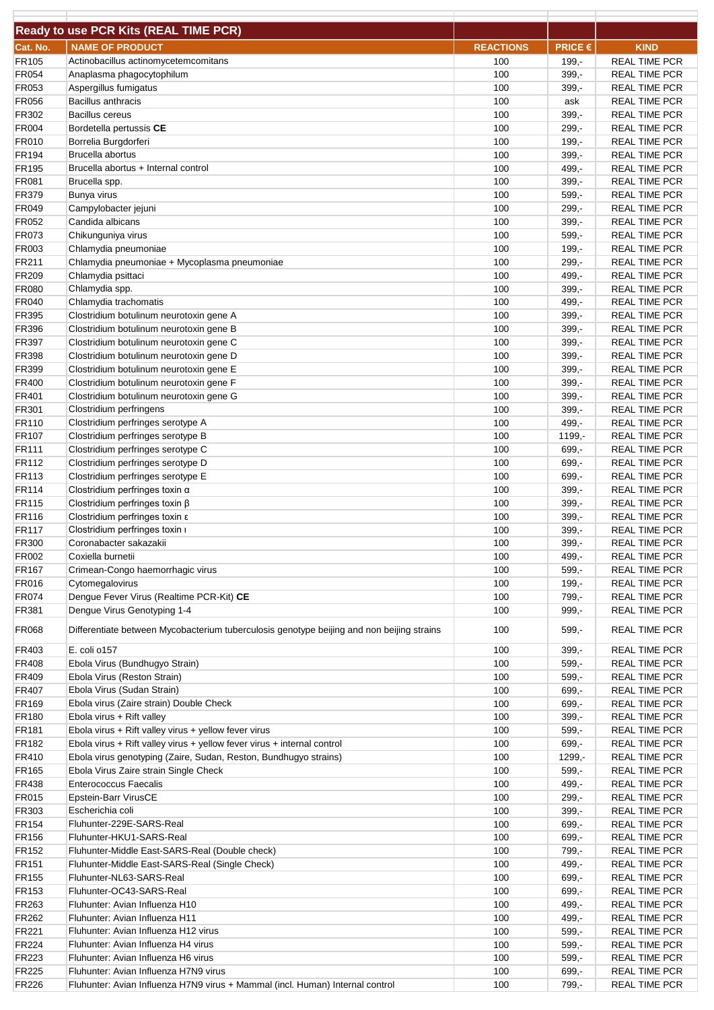|                              | <b>Ready to use PCR Kits (REAL TIME PCR)</b>                                                                                                |                  |                      |                                              |
|------------------------------|---------------------------------------------------------------------------------------------------------------------------------------------|------------------|----------------------|----------------------------------------------|
|                              |                                                                                                                                             |                  |                      |                                              |
| Cat. No.                     | <b>NAME OF PRODUCT</b>                                                                                                                      | <b>REACTIONS</b> | PRICE €              | <b>KIND</b>                                  |
| FR105                        | Actinobacillus actinomycetemcomitans                                                                                                        | 100              | $199. -$             | <b>REAL TIME PCR</b>                         |
| FR054<br>FR053               | Anaplasma phagocytophilum                                                                                                                   | 100<br>100       | $399. -$<br>$399, -$ | <b>REAL TIME PCR</b><br><b>REAL TIME PCR</b> |
| <b>FR056</b>                 | Aspergillus fumigatus<br><b>Bacillus anthracis</b>                                                                                          | 100              | ask                  | <b>REAL TIME PCR</b>                         |
| FR302                        | <b>Bacillus cereus</b>                                                                                                                      | 100              | $399. -$             | <b>REAL TIME PCR</b>                         |
| <b>FR004</b>                 | Bordetella pertussis CE                                                                                                                     | 100              | $299. -$             | <b>REAL TIME PCR</b>                         |
| FR010                        | Borrelia Burgdorferi                                                                                                                        | 100              | $199. -$             | <b>REAL TIME PCR</b>                         |
| FR194                        | Brucella abortus                                                                                                                            | 100              | $399 -$              | <b>REAL TIME PCR</b>                         |
| <b>FR195</b>                 | Brucella abortus + Internal control                                                                                                         | 100              | 499,-                | <b>REAL TIME PCR</b>                         |
| <b>FR081</b>                 | Brucella spp.                                                                                                                               | 100              | $399 -$              | <b>REAL TIME PCR</b>                         |
| FR379                        | <b>Bunya virus</b>                                                                                                                          | 100              | $599 -$              | <b>REAL TIME PCR</b>                         |
| <b>FR049</b>                 | Campylobacter jejuni                                                                                                                        | 100              | $299, -$             | <b>REAL TIME PCR</b>                         |
| FR052                        | Candida albicans                                                                                                                            | 100              | $399. -$             | <b>REAL TIME PCR</b>                         |
| FR073                        | Chikunguniya virus                                                                                                                          | 100              | 599,-                | <b>REAL TIME PCR</b>                         |
| FR003                        | Chlamydia pneumoniae                                                                                                                        | 100              | $199,-$              | <b>REAL TIME PCR</b>                         |
| FR211                        | Chlamydia pneumoniae + Mycoplasma pneumoniae                                                                                                | 100              | $299. -$             | <b>REAL TIME PCR</b>                         |
| FR209                        | Chlamydia psittaci                                                                                                                          | 100              | 499,-                | <b>REAL TIME PCR</b>                         |
| <b>FR080</b><br><b>FR040</b> | Chlamydia spp.<br>Chlamydia trachomatis                                                                                                     | 100<br>100       | $399. -$<br>499,-    | <b>REAL TIME PCR</b><br><b>REAL TIME PCR</b> |
| <b>FR395</b>                 | Clostridium botulinum neurotoxin gene A                                                                                                     | 100              | $399. -$             | <b>REAL TIME PCR</b>                         |
| <b>FR396</b>                 | Clostridium botulinum neurotoxin gene B                                                                                                     | 100              | $399, -$             | <b>REAL TIME PCR</b>                         |
| FR397                        | Clostridium botulinum neurotoxin gene C                                                                                                     | 100              | $399. -$             | <b>REAL TIME PCR</b>                         |
| <b>FR398</b>                 | Clostridium botulinum neurotoxin gene D                                                                                                     | 100              | $399 -$              | <b>REAL TIME PCR</b>                         |
| <b>FR399</b>                 | Clostridium botulinum neurotoxin gene E                                                                                                     | 100              | $399 -$              | <b>REAL TIME PCR</b>                         |
| FR400                        | Clostridium botulinum neurotoxin gene F                                                                                                     | 100              | $399. -$             | <b>REAL TIME PCR</b>                         |
| FR401                        | Clostridium botulinum neurotoxin gene G                                                                                                     | 100              | $399 -$              | <b>REAL TIME PCR</b>                         |
| FR301                        | Clostridium perfringens                                                                                                                     | 100              | $399. -$             | <b>REAL TIME PCR</b>                         |
| FR110                        | Clostridium perfringes serotype A                                                                                                           | 100              | 499,-                | <b>REAL TIME PCR</b>                         |
| FR107                        | Clostridium perfringes serotype B                                                                                                           | 100              | $1199, -$            | <b>REAL TIME PCR</b>                         |
| <b>FR111</b>                 | Clostridium perfringes serotype C                                                                                                           | 100              | 699,-                | <b>REAL TIME PCR</b>                         |
| FR112                        | Clostridium perfringes serotype D                                                                                                           | 100              | 699,-                | <b>REAL TIME PCR</b>                         |
| FR113                        | Clostridium perfringes serotype E                                                                                                           | 100              | 699,-                | <b>REAL TIME PCR</b>                         |
| FR114<br><b>FR115</b>        | Clostridium perfringes toxin $\alpha$<br>Clostridium perfringes toxin ß                                                                     | 100<br>100       | $399 -$<br>$399. -$  | <b>REAL TIME PCR</b><br><b>REAL TIME PCR</b> |
| <b>FR116</b>                 | Clostridium perfringes toxin $\varepsilon$                                                                                                  | 100              | $399 -$              | <b>REAL TIME PCR</b>                         |
| <b>FR117</b>                 | Clostridium perfringes toxin i                                                                                                              | 100              | 399,-                | <b>REAL TIME PCR</b>                         |
| FR300                        | Coronabacter sakazakii                                                                                                                      | 100              | 399,-                | <b>REAL TIME PCR</b>                         |
| FR002                        | Coxiella burnetii                                                                                                                           | 100              | 499,-                | <b>REAL TIME PCR</b>                         |
| FR <sub>167</sub>            | Crimean-Congo haemorrhagic virus                                                                                                            | 100              | $599,-$              | <b>REAL TIME PCR</b>                         |
| <b>FR016</b>                 | Cytomegalovirus                                                                                                                             | 100              | $199 -$              | <b>REAL TIME PCR</b>                         |
| <b>FR074</b>                 | Dengue Fever Virus (Realtime PCR-Kit) CE                                                                                                    | 100              | 799,-                | <b>REAL TIME PCR</b>                         |
| <b>FR381</b>                 | Dengue Virus Genotyping 1-4                                                                                                                 | 100              | $999 -$              | <b>REAL TIME PCR</b>                         |
| <b>FR068</b>                 | Differentiate between Mycobacterium tuberculosis genotype beijing and non beijing strains                                                   | 100              | $599,-$              | <b>REAL TIME PCR</b>                         |
| FR403                        | E. coli o157                                                                                                                                | 100              | $399 -$              | <b>REAL TIME PCR</b>                         |
| FR408                        | Ebola Virus (Bundhugyo Strain)                                                                                                              | 100              | $599 -$              | <b>REAL TIME PCR</b>                         |
| FR409                        | Ebola Virus (Reston Strain)                                                                                                                 | 100              | $599. -$             | <b>REAL TIME PCR</b>                         |
| FR407                        | Ebola Virus (Sudan Strain)                                                                                                                  | 100              | 699,-                | <b>REAL TIME PCR</b>                         |
| <b>FR169</b>                 | Ebola virus (Zaire strain) Double Check                                                                                                     | 100              | $699,-$              | REAL TIME PCR                                |
| <b>FR180</b>                 | Ebola virus + Rift valley                                                                                                                   | 100              | $399,-$              | <b>REAL TIME PCR</b>                         |
| <b>FR181</b>                 | Ebola virus + Rift valley virus + yellow fever virus                                                                                        | 100              | $599,-$              | <b>REAL TIME PCR</b>                         |
| FR182                        | Ebola virus + Rift valley virus + yellow fever virus + internal control<br>Ebola virus genotyping (Zaire, Sudan, Reston, Bundhugyo strains) | 100              | $699 -$              | <b>REAL TIME PCR</b>                         |
| FR410<br><b>FR165</b>        | Ebola Virus Zaire strain Single Check                                                                                                       | 100<br>100       | 1299,-<br>$599,-$    | <b>REAL TIME PCR</b><br><b>REAL TIME PCR</b> |
| <b>FR438</b>                 | <b>Enterococcus Faecalis</b>                                                                                                                | 100              | 499,-                | <b>REAL TIME PCR</b>                         |
| <b>FR015</b>                 | Epstein-Barr VirusCE                                                                                                                        | 100              | $299 -$              | <b>REAL TIME PCR</b>                         |
| FR303                        | Escherichia coli                                                                                                                            | 100              | $399 -$              | <b>REAL TIME PCR</b>                         |
| <b>FR154</b>                 | Fluhunter-229E-SARS-Real                                                                                                                    | 100              | 699,-                | <b>REAL TIME PCR</b>                         |
| <b>FR156</b>                 | Fluhunter-HKU1-SARS-Real                                                                                                                    | 100              | 699,-                | <b>REAL TIME PCR</b>                         |
| FR152                        | Fluhunter-Middle East-SARS-Real (Double check)                                                                                              | 100              | 799,-                | <b>REAL TIME PCR</b>                         |
| <b>FR151</b>                 | Fluhunter-Middle East-SARS-Real (Single Check)                                                                                              | 100              | $499 -$              | <b>REAL TIME PCR</b>                         |
| FR155                        | Fluhunter-NL63-SARS-Real                                                                                                                    | 100              | 699,-                | <b>REAL TIME PCR</b>                         |
| FR153                        | Fluhunter-OC43-SARS-Real                                                                                                                    | 100              | $699,-$              | <b>REAL TIME PCR</b>                         |
| FR263                        | Fluhunter: Avian Influenza H10                                                                                                              | 100              | 499,-                | <b>REAL TIME PCR</b>                         |
| FR262                        | Fluhunter: Avian Influenza H11                                                                                                              | 100              | 499,-                | <b>REAL TIME PCR</b>                         |
| <b>FR221</b>                 | Fluhunter: Avian Influenza H12 virus                                                                                                        | 100              | $599 -$              | <b>REAL TIME PCR</b>                         |
| <b>FR224</b>                 | Fluhunter: Avian Influenza H4 virus                                                                                                         | 100              | $599,-$              | <b>REAL TIME PCR</b>                         |
| FR223                        | Fluhunter: Avian Influenza H6 virus                                                                                                         | 100              | $599 -$              | <b>REAL TIME PCR</b>                         |
| FR225<br><b>FR226</b>        | Fluhunter: Avian Influenza H7N9 virus<br>Fluhunter: Avian Influenza H7N9 virus + Mammal (incl. Human) Internal control                      | 100<br>100       | 699,-<br>799,-       | REAL TIME PCR<br><b>REAL TIME PCR</b>        |
|                              |                                                                                                                                             |                  |                      |                                              |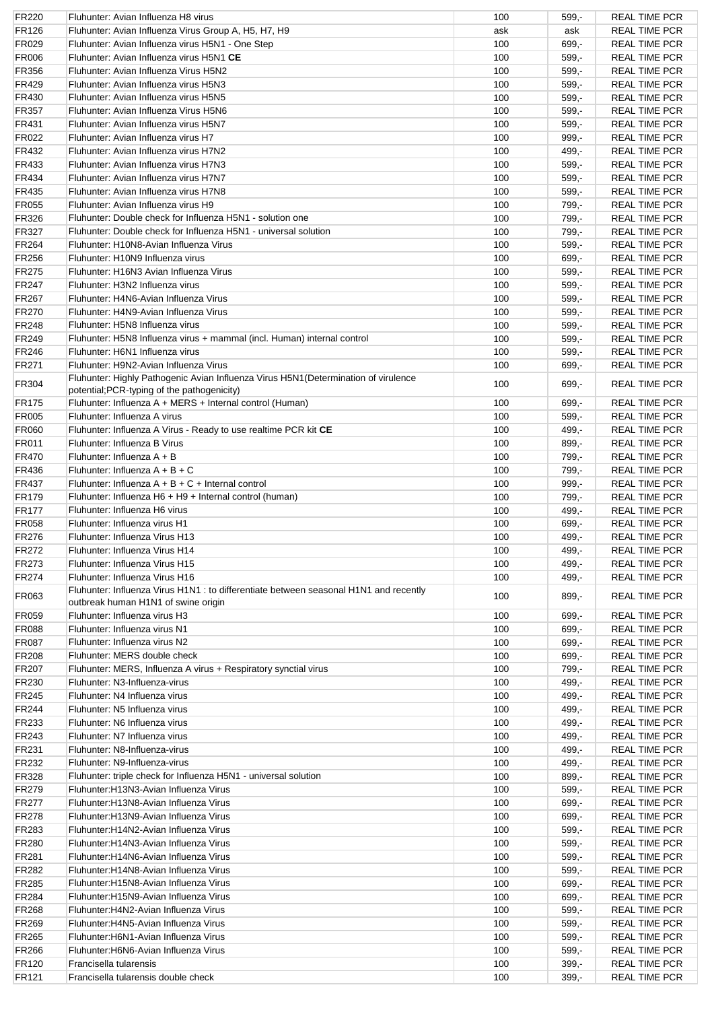| FR220        | Fluhunter: Avian Influenza H8 virus                                                   | 100 | $599 -$ | <b>REAL TIME PCR</b> |
|--------------|---------------------------------------------------------------------------------------|-----|---------|----------------------|
| <b>FR126</b> | Fluhunter: Avian Influenza Virus Group A, H5, H7, H9                                  | ask | ask     | <b>REAL TIME PCR</b> |
| FR029        | Fluhunter: Avian Influenza virus H5N1 - One Step                                      | 100 | 699,-   | <b>REAL TIME PCR</b> |
| <b>FR006</b> | Fluhunter: Avian Influenza virus H5N1 CE                                              | 100 | 599,-   | <b>REAL TIME PCR</b> |
| <b>FR356</b> | Fluhunter: Avian Influenza Virus H5N2                                                 | 100 | 599.-   | <b>REAL TIME PCR</b> |
| <b>FR429</b> | Fluhunter: Avian Influenza virus H5N3                                                 | 100 | 599.-   | <b>REAL TIME PCR</b> |
| <b>FR430</b> | Fluhunter: Avian Influenza virus H5N5                                                 | 100 | $599 -$ | <b>REAL TIME PCR</b> |
|              |                                                                                       |     |         |                      |
| FR357        | Fluhunter: Avian Influenza Virus H5N6                                                 | 100 | $599 -$ | <b>REAL TIME PCR</b> |
| <b>FR431</b> | Fluhunter: Avian Influenza virus H5N7                                                 | 100 | $599 -$ | <b>REAL TIME PCR</b> |
| FR022        | Fluhunter: Avian Influenza virus H7                                                   | 100 | $999 -$ | <b>REAL TIME PCR</b> |
| FR432        | Fluhunter: Avian Influenza virus H7N2                                                 | 100 | $499 -$ | <b>REAL TIME PCR</b> |
| FR433        | Fluhunter: Avian Influenza virus H7N3                                                 | 100 | 599.-   | <b>REAL TIME PCR</b> |
| <b>FR434</b> | Fluhunter: Avian Influenza virus H7N7                                                 | 100 | $599 -$ | <b>REAL TIME PCR</b> |
| <b>FR435</b> | Fluhunter: Avian Influenza virus H7N8                                                 | 100 | $599 -$ | <b>REAL TIME PCR</b> |
| FR055        | Fluhunter: Avian Influenza virus H9                                                   | 100 | 799,-   | <b>REAL TIME PCR</b> |
| FR326        | Fluhunter: Double check for Influenza H5N1 - solution one                             | 100 | 799,-   | <b>REAL TIME PCR</b> |
| FR327        | Fluhunter: Double check for Influenza H5N1 - universal solution                       | 100 | 799,-   | <b>REAL TIME PCR</b> |
| <b>FR264</b> | Fluhunter: H10N8-Avian Influenza Virus                                                | 100 | $599 -$ | <b>REAL TIME PCR</b> |
| <b>FR256</b> | Fluhunter: H10N9 Influenza virus                                                      | 100 | 699,-   | <b>REAL TIME PCR</b> |
|              |                                                                                       |     |         |                      |
| FR275        | Fluhunter: H16N3 Avian Influenza Virus                                                | 100 | $599 -$ | <b>REAL TIME PCR</b> |
| FR247        | Fluhunter: H3N2 Influenza virus                                                       | 100 | $599 -$ | <b>REAL TIME PCR</b> |
| FR267        | Fluhunter: H4N6-Avian Influenza Virus                                                 | 100 | $599 -$ | <b>REAL TIME PCR</b> |
| FR270        | Fluhunter: H4N9-Avian Influenza Virus                                                 | 100 | $599 -$ | <b>REAL TIME PCR</b> |
| <b>FR248</b> | Fluhunter: H5N8 Influenza virus                                                       | 100 | 599,-   | <b>REAL TIME PCR</b> |
| <b>FR249</b> | Fluhunter: H5N8 Influenza virus + mammal (incl. Human) internal control               | 100 | $599 -$ | <b>REAL TIME PCR</b> |
| <b>FR246</b> | Fluhunter: H6N1 Influenza virus                                                       | 100 | $599 -$ | <b>REAL TIME PCR</b> |
| <b>FR271</b> | Fluhunter: H9N2-Avian Influenza Virus                                                 | 100 | $699 -$ | <b>REAL TIME PCR</b> |
|              | Fluhunter: Highly Pathogenic Avian Influenza Virus H5N1 (Determination of virulence   |     |         |                      |
| <b>FR304</b> | potential; PCR-typing of the pathogenicity)                                           | 100 | $699 -$ | <b>REAL TIME PCR</b> |
| <b>FR175</b> | Fluhunter: Influenza A + MERS + Internal control (Human)                              | 100 | $699 -$ | <b>REAL TIME PCR</b> |
| <b>FR005</b> | Fluhunter: Influenza A virus                                                          | 100 | 599,-   | <b>REAL TIME PCR</b> |
| FR060        | Fluhunter: Influenza A Virus - Ready to use realtime PCR kit CE                       | 100 | 499.-   | <b>REAL TIME PCR</b> |
| FR011        | Fluhunter: Influenza B Virus                                                          | 100 | $899 -$ | <b>REAL TIME PCR</b> |
| FR470        | Fluhunter: Influenza A + B                                                            | 100 | 799,-   | <b>REAL TIME PCR</b> |
| <b>FR436</b> | Fluhunter: Influenza $A + B + C$                                                      | 100 | 799,-   | <b>REAL TIME PCR</b> |
| FR437        | Fluhunter: Influenza $A + B + C +$ Internal control                                   | 100 | $999 -$ | <b>REAL TIME PCR</b> |
|              | Fluhunter: Influenza H6 + H9 + Internal control (human)                               |     |         |                      |
| <b>FR179</b> |                                                                                       | 100 | 799,-   | <b>REAL TIME PCR</b> |
| <b>FR177</b> | Fluhunter: Influenza H6 virus                                                         | 100 | $499 -$ | <b>REAL TIME PCR</b> |
| FR058        | Fluhunter: Influenza virus H1                                                         | 100 | $699 -$ | <b>REAL TIME PCR</b> |
| FR276        | Fluhunter: Influenza Virus H13                                                        | 100 | $499 -$ | <b>REAL TIME PCR</b> |
| <b>FR272</b> | Fluhunter: Influenza Virus H14                                                        | 100 | 499,-   | <b>REAL TIME PCR</b> |
| FR273        | Fluhunter: Influenza Virus H15                                                        | 100 | $499,-$ | <b>REAL TIME PCR</b> |
| <b>FR274</b> | Fluhunter: Influenza Virus H16                                                        | 100 | $499 -$ | <b>REAL TIME PCR</b> |
|              | Fluhunter: Influenza Virus H1N1 : to differentiate between seasonal H1N1 and recently |     |         |                      |
| FR063        | outbreak human H1N1 of swine origin                                                   | 100 | $899 -$ | <b>REAL TIME PCR</b> |
| FR059        | Fluhunter: Influenza virus H3                                                         | 100 | $699 -$ | <b>REAL TIME PCR</b> |
| <b>FR088</b> | Fluhunter: Influenza virus N1                                                         | 100 | 699,-   | <b>REAL TIME PCR</b> |
|              |                                                                                       |     |         |                      |
| FR087        | Fluhunter: Influenza virus N2                                                         | 100 | $699 -$ | <b>REAL TIME PCR</b> |
| FR208        | Fluhunter: MERS double check                                                          | 100 | $699 -$ | <b>REAL TIME PCR</b> |
| <b>FR207</b> | Fluhunter: MERS, Influenza A virus + Respiratory synctial virus                       | 100 | 799,-   | <b>REAL TIME PCR</b> |
| FR230        | Fluhunter: N3-Influenza-virus                                                         | 100 | 499.-   | <b>REAL TIME PCR</b> |
| <b>FR245</b> | Fluhunter: N4 Influenza virus                                                         | 100 | 499.-   | <b>REAL TIME PCR</b> |
| FR244        | Fluhunter: N5 Influenza virus                                                         | 100 | $499 -$ | <b>REAL TIME PCR</b> |
| FR233        | Fluhunter: N6 Influenza virus                                                         | 100 | $499 -$ | <b>REAL TIME PCR</b> |
| <b>FR243</b> | Fluhunter: N7 Influenza virus                                                         | 100 | 499.-   | <b>REAL TIME PCR</b> |
| FR231        | Fluhunter: N8-Influenza-virus                                                         | 100 | $499 -$ | <b>REAL TIME PCR</b> |
|              |                                                                                       |     |         |                      |
| FR232        | Fluhunter: N9-Influenza-virus                                                         | 100 | 499,-   | <b>REAL TIME PCR</b> |
| FR328        | Fluhunter: triple check for Influenza H5N1 - universal solution                       | 100 | $899 -$ | <b>REAL TIME PCR</b> |
| <b>FR279</b> | Fluhunter:H13N3-Avian Influenza Virus                                                 | 100 | 599,-   | <b>REAL TIME PCR</b> |
| FR277        | Fluhunter: H13N8-Avian Influenza Virus                                                | 100 | $699 -$ | <b>REAL TIME PCR</b> |
| <b>FR278</b> | Fluhunter:H13N9-Avian Influenza Virus                                                 | 100 | 699,-   | <b>REAL TIME PCR</b> |
| FR283        | Fluhunter:H14N2-Avian Influenza Virus                                                 | 100 | $599 -$ | <b>REAL TIME PCR</b> |
| FR280        | Fluhunter: H14N3-Avian Influenza Virus                                                | 100 | $599,-$ | <b>REAL TIME PCR</b> |
| <b>FR281</b> | Fluhunter:H14N6-Avian Influenza Virus                                                 | 100 | 599,-   | <b>REAL TIME PCR</b> |
|              | Fluhunter:H14N8-Avian Influenza Virus                                                 |     |         |                      |
| FR282        |                                                                                       | 100 | 599.-   | <b>REAL TIME PCR</b> |
| FR285        | Fluhunter: H15N8-Avian Influenza Virus                                                | 100 | $699 -$ | <b>REAL TIME PCR</b> |
| FR284        | Fluhunter: H15N9-Avian Influenza Virus                                                | 100 | $699 -$ | <b>REAL TIME PCR</b> |
| FR268        | Fluhunter: H4N2-Avian Influenza Virus                                                 | 100 | 599,-   | <b>REAL TIME PCR</b> |
| FR269        | Fluhunter:H4N5-Avian Influenza Virus                                                  | 100 | 599,-   | <b>REAL TIME PCR</b> |
| <b>FR265</b> | Fluhunter: H6N1-Avian Influenza Virus                                                 | 100 | 599,-   | <b>REAL TIME PCR</b> |
| <b>FR266</b> | Fluhunter: H6N6-Avian Influenza Virus                                                 | 100 | $599 -$ | <b>REAL TIME PCR</b> |
| FR120        | Francisella tularensis                                                                | 100 | $399,-$ | <b>REAL TIME PCR</b> |
| FR121        | Francisella tularensis double check                                                   | 100 | $399 -$ | <b>REAL TIME PCR</b> |
|              |                                                                                       |     |         |                      |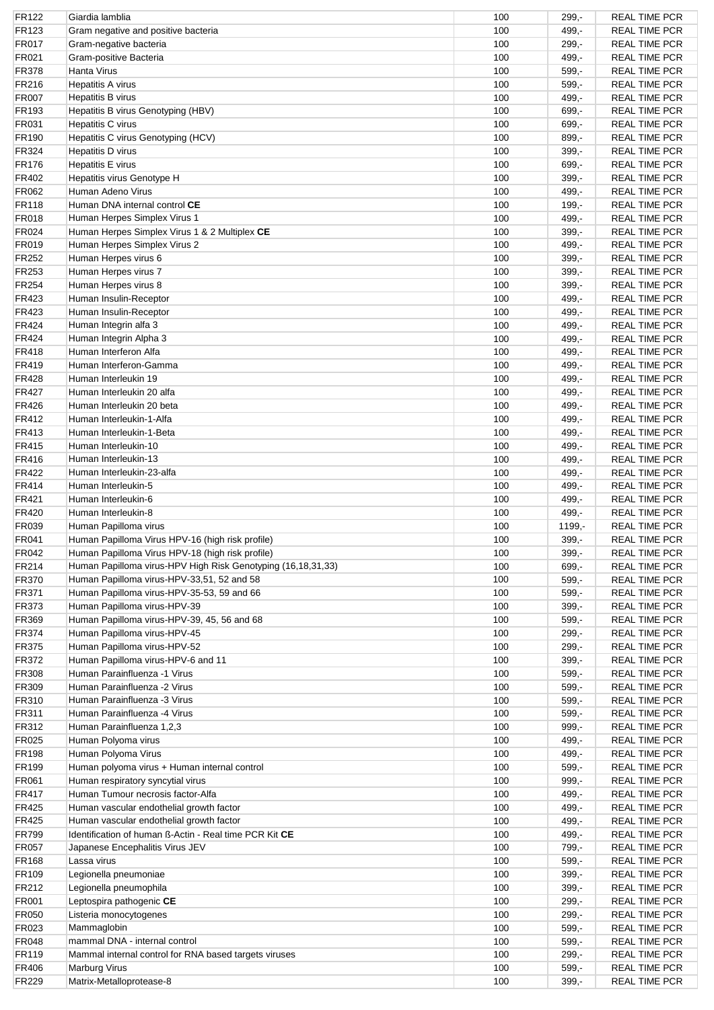| FR122          | Giardia lamblia                                                                                    | 100        | $299 -$            | <b>REAL TIME PCR</b>                         |
|----------------|----------------------------------------------------------------------------------------------------|------------|--------------------|----------------------------------------------|
| FR123          | Gram negative and positive bacteria                                                                | 100        | $499 -$            | <b>REAL TIME PCR</b>                         |
| FR017          | Gram-negative bacteria                                                                             | 100        | $299, -$           | <b>REAL TIME PCR</b>                         |
| FR021          | Gram-positive Bacteria                                                                             | 100        | $499 -$            | <b>REAL TIME PCR</b>                         |
| <b>FR378</b>   | Hanta Virus                                                                                        | 100        | $599 -$            | <b>REAL TIME PCR</b>                         |
| FR216          | <b>Hepatitis A virus</b>                                                                           | 100        | $599 -$            | <b>REAL TIME PCR</b>                         |
| <b>FR007</b>   | Hepatitis B virus                                                                                  | 100        | 499,-              | <b>REAL TIME PCR</b>                         |
| FR193          | Hepatitis B virus Genotyping (HBV)                                                                 | 100        | 699,-              | <b>REAL TIME PCR</b>                         |
| FR031          | Hepatitis C virus                                                                                  | 100        | $699 -$            | <b>REAL TIME PCR</b>                         |
|                |                                                                                                    |            |                    |                                              |
| FR190          | Hepatitis C virus Genotyping (HCV)                                                                 | 100        | 899,-              | <b>REAL TIME PCR</b>                         |
| FR324          | Hepatitis D virus                                                                                  | 100        | $399 -$            | <b>REAL TIME PCR</b>                         |
| <b>FR176</b>   | <b>Hepatitis E virus</b>                                                                           | 100        | $699,-$            | <b>REAL TIME PCR</b>                         |
| FR402          | Hepatitis virus Genotype H                                                                         | 100        | $399,-$            | <b>REAL TIME PCR</b>                         |
| FR062          | Human Adeno Virus                                                                                  | 100        | 499,-              | <b>REAL TIME PCR</b>                         |
| <b>FR118</b>   | Human DNA internal control CE                                                                      | 100        | $199,-$            | <b>REAL TIME PCR</b>                         |
| FR018          | Human Herpes Simplex Virus 1                                                                       | 100        | 499,-              | <b>REAL TIME PCR</b>                         |
| FR024          | Human Herpes Simplex Virus 1 & 2 Multiplex CE                                                      | 100        | $399,-$            | <b>REAL TIME PCR</b>                         |
| FR019          | Human Herpes Simplex Virus 2                                                                       | 100        | 499,-              | <b>REAL TIME PCR</b>                         |
| FR252          | Human Herpes virus 6                                                                               | 100        | $399,-$            | <b>REAL TIME PCR</b>                         |
| FR253          | Human Herpes virus 7                                                                               | 100        | $399 -$            | <b>REAL TIME PCR</b>                         |
| FR254          | Human Herpes virus 8                                                                               | 100        | $399,-$            | <b>REAL TIME PCR</b>                         |
|                |                                                                                                    |            |                    |                                              |
| FR423          | Human Insulin-Receptor                                                                             | 100        | 499,-              | <b>REAL TIME PCR</b>                         |
| FR423          | Human Insulin-Receptor                                                                             | 100        | 499,-              | <b>REAL TIME PCR</b>                         |
| FR424          | Human Integrin alfa 3                                                                              | 100        | $499 -$            | <b>REAL TIME PCR</b>                         |
| FR424          | Human Integrin Alpha 3                                                                             | 100        | 499,-              | <b>REAL TIME PCR</b>                         |
| <b>FR418</b>   | Human Interferon Alfa                                                                              | 100        | 499,-              | <b>REAL TIME PCR</b>                         |
| FR419          | Human Interferon-Gamma                                                                             | 100        | $499 -$            | <b>REAL TIME PCR</b>                         |
| FR428          | Human Interleukin 19                                                                               | 100        | 499,-              | <b>REAL TIME PCR</b>                         |
| FR427          | Human Interleukin 20 alfa                                                                          | 100        | 499,-              | <b>REAL TIME PCR</b>                         |
| FR426          | Human Interleukin 20 beta                                                                          | 100        | 499,-              | <b>REAL TIME PCR</b>                         |
|                |                                                                                                    |            |                    |                                              |
| FR412          | Human Interleukin-1-Alfa                                                                           | 100        | 499,-              | <b>REAL TIME PCR</b>                         |
| FR413          | Human Interleukin-1-Beta                                                                           | 100        | 499,-              | <b>REAL TIME PCR</b>                         |
| <b>FR415</b>   | Human Interleukin-10                                                                               | 100        | $499 -$            | <b>REAL TIME PCR</b>                         |
| FR416          | Human Interleukin-13                                                                               | 100        | $499 -$            | <b>REAL TIME PCR</b>                         |
| FR422          | Human Interleukin-23-alfa                                                                          | 100        | 499,-              | <b>REAL TIME PCR</b>                         |
| FR414          | Human Interleukin-5                                                                                | 100        | $499 -$            | <b>REAL TIME PCR</b>                         |
| FR421          | Human Interleukin-6                                                                                | 100        | 499,-              | <b>REAL TIME PCR</b>                         |
| <b>FR420</b>   | Human Interleukin-8                                                                                | 100        | 499,-              | <b>REAL TIME PCR</b>                         |
| FR039          | Human Papilloma virus                                                                              | 100        | 1199,-             | <b>REAL TIME PCR</b>                         |
|                |                                                                                                    |            |                    |                                              |
| FR041          | Human Papilloma Virus HPV-16 (high risk profile)                                                   | 100        | $399 -$            | <b>REAL TIME PCR</b>                         |
| FR042          | Human Papilloma Virus HPV-18 (high risk profile)                                                   | 100        | 399,-              | <b>REAL TIME PCR</b>                         |
| <b>FR214</b>   | Human Papilloma virus-HPV High Risk Genotyping (16,18,31,33)                                       | 100        | $699,-$            | <b>REAL TIME PCR</b>                         |
| <b>FR370</b>   | Human Papilloma virus-HPV-33,51, 52 and 58                                                         | 100        | $599 -$            | <b>REAL TIME PCR</b>                         |
| <b>FR371</b>   | Human Papilloma virus-HPV-35-53, 59 and 66                                                         | 100        | $599,-$            | <b>REAL TIME PCR</b>                         |
| FR373          | Human Papilloma virus-HPV-39                                                                       | 100        | $399,-$            | <b>REAL TIME PCR</b>                         |
| FR369          | Human Papilloma virus-HPV-39, 45, 56 and 68                                                        | 100        | $599,-$            | <b>REAL TIME PCR</b>                         |
| <b>FR374</b>   | Human Papilloma virus-HPV-45                                                                       | 100        | $299,-$            | <b>REAL TIME PCR</b>                         |
| <b>FR375</b>   | Human Papilloma virus-HPV-52                                                                       | 100        | $299 -$            | <b>REAL TIME PCR</b>                         |
| <b>FR372</b>   | Human Papilloma virus-HPV-6 and 11                                                                 | 100        | $399,-$            | <b>REAL TIME PCR</b>                         |
| <b>FR308</b>   | Human Parainfluenza -1 Virus                                                                       | 100        | $599,-$            | <b>REAL TIME PCR</b>                         |
|                | Human Parainfluenza -2 Virus                                                                       |            |                    |                                              |
| FR309          |                                                                                                    | 100        | $599,-$            | <b>REAL TIME PCR</b>                         |
| FR310          | Human Parainfluenza -3 Virus                                                                       | 100        | $599,-$            | <b>REAL TIME PCR</b>                         |
| <b>FR311</b>   | Human Parainfluenza -4 Virus                                                                       | 100        | $599,-$            | <b>REAL TIME PCR</b>                         |
| FR312          | Human Parainfluenza 1,2,3                                                                          | 100        | $999,-$            | <b>REAL TIME PCR</b>                         |
| FR025          | Human Polyoma virus                                                                                | 100        | 499,-              | <b>REAL TIME PCR</b>                         |
| <b>FR198</b>   | Human Polyoma Virus                                                                                | 100        | 499,-              | <b>REAL TIME PCR</b>                         |
| <b>FR199</b>   | Human polyoma virus + Human internal control                                                       | 100        | $599,-$            | <b>REAL TIME PCR</b>                         |
| FR061          | Human respiratory syncytial virus                                                                  | 100        | $999,-$            | <b>REAL TIME PCR</b>                         |
| FR417          | Human Tumour necrosis factor-Alfa                                                                  | 100        | 499,-              | <b>REAL TIME PCR</b>                         |
| <b>FR425</b>   | Human vascular endothelial growth factor                                                           | 100        | 499,-              | <b>REAL TIME PCR</b>                         |
| <b>FR425</b>   |                                                                                                    | 100        |                    | <b>REAL TIME PCR</b>                         |
|                | Human vascular endothelial growth factor<br>Identification of human ß-Actin - Real time PCR Kit CE | 100        | 499,-              |                                              |
| <b>FR799</b>   |                                                                                                    |            | 499,-              | <b>REAL TIME PCR</b>                         |
| <b>FR057</b>   |                                                                                                    |            |                    |                                              |
|                | Japanese Encephalitis Virus JEV                                                                    | 100        | 799,-              | <b>REAL TIME PCR</b>                         |
| <b>FR168</b>   | Lassa virus                                                                                        | 100        | $599,-$            | <b>REAL TIME PCR</b>                         |
| FR109          | Legionella pneumoniae                                                                              | 100        | $399,-$            | <b>REAL TIME PCR</b>                         |
| FR212          | Legionella pneumophila                                                                             | 100        | $399,-$            | <b>REAL TIME PCR</b>                         |
| <b>FR001</b>   | Leptospira pathogenic CE                                                                           | 100        | $299,-$            | <b>REAL TIME PCR</b>                         |
| FR050          | Listeria monocytogenes                                                                             | 100        | $299,-$            | <b>REAL TIME PCR</b>                         |
|                |                                                                                                    |            |                    |                                              |
| FR023          | Mammaglobin                                                                                        | 100        | $599,-$            | <b>REAL TIME PCR</b>                         |
| FR048          | mammal DNA - internal control                                                                      | 100        | $599 -$            | <b>REAL TIME PCR</b>                         |
| <b>FR119</b>   | Mammal internal control for RNA based targets viruses                                              | 100        | $299 -$            | <b>REAL TIME PCR</b>                         |
| FR406<br>FR229 | <b>Marburg Virus</b><br>Matrix-Metalloprotease-8                                                   | 100<br>100 | $599 -$<br>$399,-$ | <b>REAL TIME PCR</b><br><b>REAL TIME PCR</b> |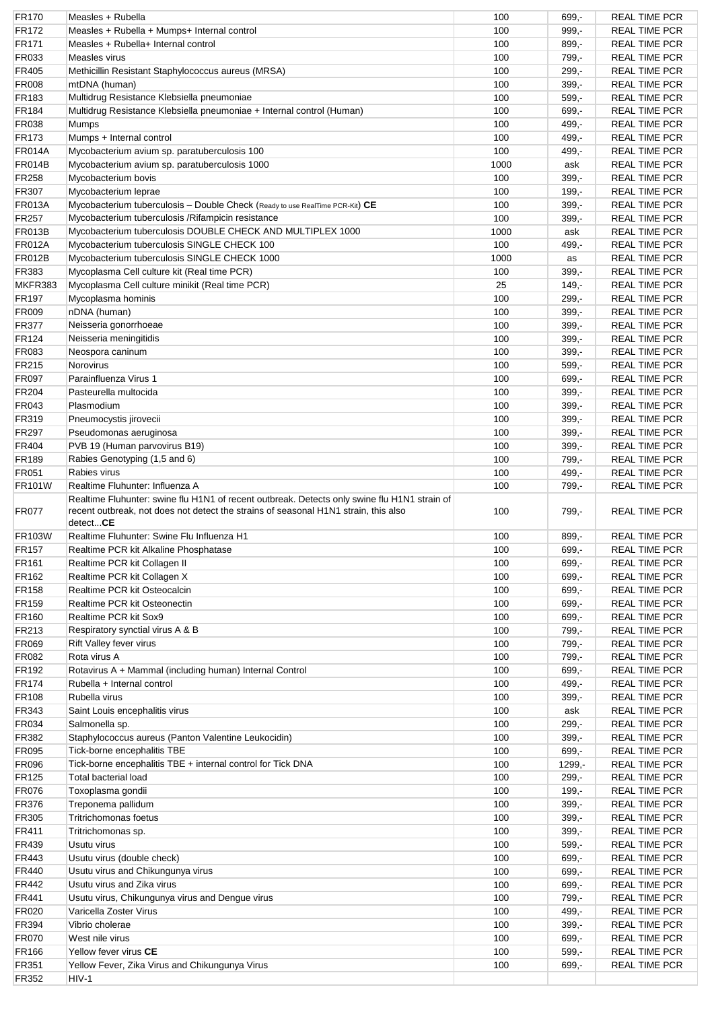| <b>FR170</b>      | Measles + Rubella                                                                                                                                                                               | 100  | $699,-$ | <b>REAL TIME PCR</b> |
|-------------------|-------------------------------------------------------------------------------------------------------------------------------------------------------------------------------------------------|------|---------|----------------------|
| FR172             | Measles + Rubella + Mumps+ Internal control                                                                                                                                                     | 100  | $999,-$ | <b>REAL TIME PCR</b> |
| FR171             | Measles + Rubella+ Internal control                                                                                                                                                             | 100  | $899 -$ | <b>REAL TIME PCR</b> |
| FR033             | Measles virus                                                                                                                                                                                   | 100  | 799,-   | <b>REAL TIME PCR</b> |
| <b>FR405</b>      | Methicillin Resistant Staphylococcus aureus (MRSA)                                                                                                                                              | 100  | $299 -$ | <b>REAL TIME PCR</b> |
| <b>FR008</b>      | mtDNA (human)                                                                                                                                                                                   | 100  | $399,-$ | <b>REAL TIME PCR</b> |
| FR183             | Multidrug Resistance Klebsiella pneumoniae                                                                                                                                                      | 100  | $599 -$ | <b>REAL TIME PCR</b> |
| <b>FR184</b>      | Multidrug Resistance Klebsiella pneumoniae + Internal control (Human)                                                                                                                           | 100  | 699,-   | <b>REAL TIME PCR</b> |
| FR038             | Mumps                                                                                                                                                                                           | 100  | $499 -$ | <b>REAL TIME PCR</b> |
| FR173             |                                                                                                                                                                                                 | 100  | 499,-   | <b>REAL TIME PCR</b> |
|                   | Mumps + Internal control                                                                                                                                                                        |      |         |                      |
| <b>FR014A</b>     | Mycobacterium avium sp. paratuberculosis 100                                                                                                                                                    | 100  | $499 -$ | <b>REAL TIME PCR</b> |
| <b>FR014B</b>     | Mycobacterium avium sp. paratuberculosis 1000                                                                                                                                                   | 1000 | ask     | <b>REAL TIME PCR</b> |
| <b>FR258</b>      | Mycobacterium bovis                                                                                                                                                                             | 100  | $399,-$ | <b>REAL TIME PCR</b> |
| FR307             | Mycobacterium leprae                                                                                                                                                                            | 100  | $199 -$ | <b>REAL TIME PCR</b> |
| <b>FR013A</b>     | Mycobacterium tuberculosis - Double Check (Ready to use RealTime PCR-Kit) CE                                                                                                                    | 100  | $399,-$ | <b>REAL TIME PCR</b> |
| <b>FR257</b>      | Mycobacterium tuberculosis / Rifampicin resistance                                                                                                                                              | 100  | $399 -$ | <b>REAL TIME PCR</b> |
| <b>FR013B</b>     | Mycobacterium tuberculosis DOUBLE CHECK AND MULTIPLEX 1000                                                                                                                                      | 1000 | ask     | <b>REAL TIME PCR</b> |
| <b>FR012A</b>     | Mycobacterium tuberculosis SINGLE CHECK 100                                                                                                                                                     | 100  | 499,-   | <b>REAL TIME PCR</b> |
| <b>FR012B</b>     | Mycobacterium tuberculosis SINGLE CHECK 1000                                                                                                                                                    | 1000 | as      | <b>REAL TIME PCR</b> |
| FR383             | Mycoplasma Cell culture kit (Real time PCR)                                                                                                                                                     | 100  | $399 -$ | <b>REAL TIME PCR</b> |
| MKFR383           | Mycoplasma Cell culture minikit (Real time PCR)                                                                                                                                                 | 25   | $149 -$ | <b>REAL TIME PCR</b> |
| <b>FR197</b>      | Mycoplasma hominis                                                                                                                                                                              | 100  | $299 -$ | <b>REAL TIME PCR</b> |
| FR009             | nDNA (human)                                                                                                                                                                                    | 100  | $399,-$ | <b>REAL TIME PCR</b> |
| <b>FR377</b>      | Neisseria gonorrhoeae                                                                                                                                                                           | 100  | $399,-$ | <b>REAL TIME PCR</b> |
| FR124             | Neisseria meningitidis                                                                                                                                                                          | 100  | $399 -$ | <b>REAL TIME PCR</b> |
| FR083             | Neospora caninum                                                                                                                                                                                | 100  | $399,-$ | <b>REAL TIME PCR</b> |
|                   |                                                                                                                                                                                                 |      |         |                      |
| FR215             | Norovirus                                                                                                                                                                                       | 100  | $599,-$ | <b>REAL TIME PCR</b> |
| <b>FR097</b>      | Parainfluenza Virus 1                                                                                                                                                                           | 100  | 699,-   | <b>REAL TIME PCR</b> |
| FR204             | Pasteurella multocida                                                                                                                                                                           | 100  | $399 -$ | <b>REAL TIME PCR</b> |
| FR043             | Plasmodium                                                                                                                                                                                      | 100  | $399,-$ | <b>REAL TIME PCR</b> |
| FR319             | Pneumocystis jirovecii                                                                                                                                                                          | 100  | $399,-$ | <b>REAL TIME PCR</b> |
| <b>FR297</b>      | Pseudomonas aeruginosa                                                                                                                                                                          | 100  | $399 -$ | <b>REAL TIME PCR</b> |
| FR404             | PVB 19 (Human parvovirus B19)                                                                                                                                                                   | 100  | $399,-$ | <b>REAL TIME PCR</b> |
| <b>FR189</b>      | Rabies Genotyping (1,5 and 6)                                                                                                                                                                   | 100  | 799,-   | <b>REAL TIME PCR</b> |
| FR051             | Rabies virus                                                                                                                                                                                    | 100  | 499,-   | <b>REAL TIME PCR</b> |
| <b>FR101W</b>     | Realtime Fluhunter: Influenza A                                                                                                                                                                 | 100  | 799,-   | <b>REAL TIME PCR</b> |
| FR077             | Realtime Fluhunter: swine flu H1N1 of recent outbreak. Detects only swine flu H1N1 strain of<br>recent outbreak, not does not detect the strains of seasonal H1N1 strain, this also<br>detectCE | 100  | 799,-   | <b>REAL TIME PCR</b> |
|                   | Realtime Fluhunter: Swine Flu Influenza H1                                                                                                                                                      |      |         |                      |
|                   |                                                                                                                                                                                                 |      |         |                      |
| <b>FR103W</b>     |                                                                                                                                                                                                 | 100  | $899,-$ | <b>REAL TIME PCR</b> |
| <b>FR157</b>      | Realtime PCR kit Alkaline Phosphatase                                                                                                                                                           | 100  | 699,-   | <b>REAL TIME PCR</b> |
| FR <sub>161</sub> | Realtime PCR kit Collagen II                                                                                                                                                                    | 100  | $699,-$ | <b>REAL TIME PCR</b> |
| FR162             | Realtime PCR kit Collagen X                                                                                                                                                                     | 100  | 699,-   | <b>REAL TIME PCR</b> |
| <b>FR158</b>      | Realtime PCR kit Osteocalcin                                                                                                                                                                    | 100  | 699,-   | <b>REAL TIME PCR</b> |
| FR159             | Realtime PCR kit Osteonectin                                                                                                                                                                    | 100  | $699,-$ | <b>REAL TIME PCR</b> |
| <b>FR160</b>      | Realtime PCR kit Sox9                                                                                                                                                                           | 100  | 699,-   | <b>REAL TIME PCR</b> |
| FR213             | Respiratory synctial virus A & B                                                                                                                                                                | 100  | 799,-   | <b>REAL TIME PCR</b> |
| <b>FR069</b>      | Rift Valley fever virus                                                                                                                                                                         | 100  | 799,-   | <b>REAL TIME PCR</b> |
| <b>FR082</b>      | Rota virus A                                                                                                                                                                                    | 100  | 799,-   | <b>REAL TIME PCR</b> |
| FR192             | Rotavirus A + Mammal (including human) Internal Control                                                                                                                                         | 100  | 699,-   | <b>REAL TIME PCR</b> |
| <b>FR174</b>      | Rubella + Internal control                                                                                                                                                                      | 100  | 499,-   | <b>REAL TIME PCR</b> |
| <b>FR108</b>      | Rubella virus                                                                                                                                                                                   | 100  | $399 -$ | <b>REAL TIME PCR</b> |
| <b>FR343</b>      | Saint Louis encephalitis virus                                                                                                                                                                  | 100  | ask     | <b>REAL TIME PCR</b> |
|                   |                                                                                                                                                                                                 |      |         |                      |
| <b>FR034</b>      | Salmonella sp.                                                                                                                                                                                  | 100  | $299 -$ | <b>REAL TIME PCR</b> |
| FR382             | Staphylococcus aureus (Panton Valentine Leukocidin)                                                                                                                                             | 100  | $399,-$ | <b>REAL TIME PCR</b> |
| <b>FR095</b>      | Tick-borne encephalitis TBE                                                                                                                                                                     | 100  | 699,-   | <b>REAL TIME PCR</b> |
| <b>FR096</b>      | Tick-borne encephalitis TBE + internal control for Tick DNA                                                                                                                                     | 100  | 1299,-  | <b>REAL TIME PCR</b> |
| <b>FR125</b>      | <b>Total bacterial load</b>                                                                                                                                                                     | 100  | $299 -$ | <b>REAL TIME PCR</b> |
| <b>FR076</b>      | Toxoplasma gondii                                                                                                                                                                               | 100  | $199,-$ | <b>REAL TIME PCR</b> |
| <b>FR376</b>      | Treponema pallidum                                                                                                                                                                              | 100  | $399 -$ | <b>REAL TIME PCR</b> |
| <b>FR305</b>      | <b>Tritrichomonas foetus</b>                                                                                                                                                                    | 100  | $399,-$ | <b>REAL TIME PCR</b> |
| <b>FR411</b>      | Tritrichomonas sp.                                                                                                                                                                              | 100  | $399,-$ | <b>REAL TIME PCR</b> |
| FR439             | Usutu virus                                                                                                                                                                                     | 100  | $599,-$ | <b>REAL TIME PCR</b> |
| FR443             | Usutu virus (double check)                                                                                                                                                                      | 100  | 699,-   | <b>REAL TIME PCR</b> |
| <b>FR440</b>      | Usutu virus and Chikungunya virus                                                                                                                                                               | 100  | $699,-$ | <b>REAL TIME PCR</b> |
| FR442             | Usutu virus and Zika virus                                                                                                                                                                      | 100  | 699,-   | <b>REAL TIME PCR</b> |
| <b>FR441</b>      | Usutu virus, Chikungunya virus and Dengue virus                                                                                                                                                 | 100  | 799,-   | <b>REAL TIME PCR</b> |
| <b>FR020</b>      | Varicella Zoster Virus                                                                                                                                                                          | 100  | 499,-   | <b>REAL TIME PCR</b> |
| <b>FR394</b>      | Vibrio cholerae                                                                                                                                                                                 | 100  | $399,-$ | <b>REAL TIME PCR</b> |
| <b>FR070</b>      | West nile virus                                                                                                                                                                                 | 100  | $699,-$ | <b>REAL TIME PCR</b> |
| <b>FR166</b>      | Yellow fever virus CE                                                                                                                                                                           | 100  | $599,-$ | <b>REAL TIME PCR</b> |
| FR351             | Yellow Fever, Zika Virus and Chikungunya Virus                                                                                                                                                  | 100  | $699,-$ | <b>REAL TIME PCR</b> |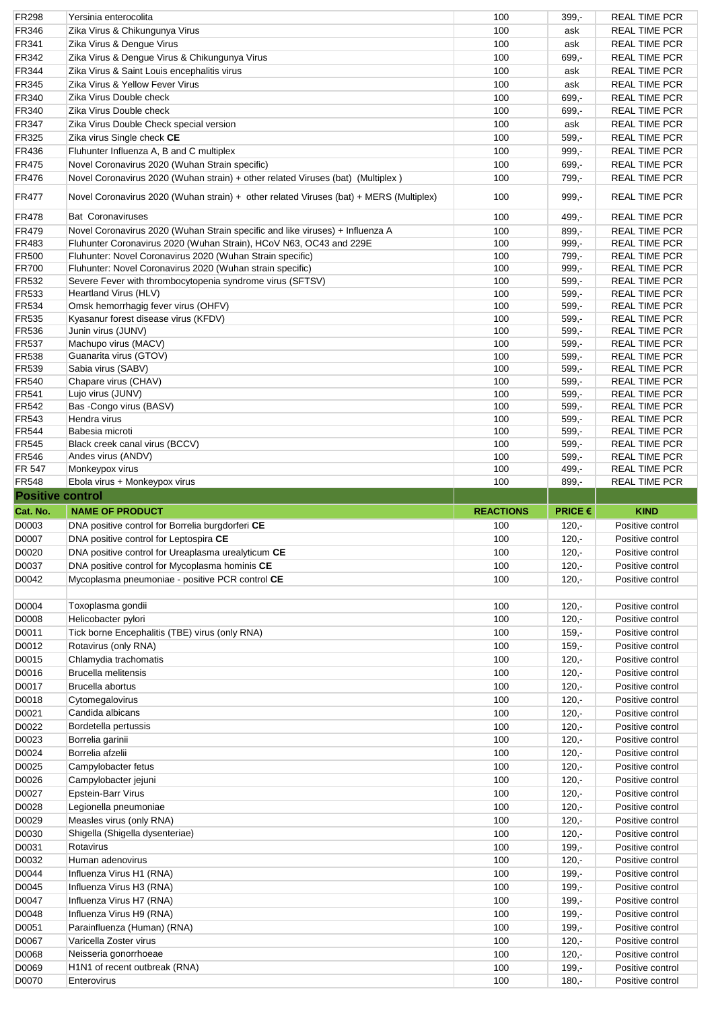| <b>FR298</b>            | Yersinia enterocolita                                                                  | 100              | 399,-              | <b>REAL TIME PCR</b>                 |
|-------------------------|----------------------------------------------------------------------------------------|------------------|--------------------|--------------------------------------|
| FR346                   | Zika Virus & Chikungunya Virus                                                         | 100              | ask                | <b>REAL TIME PCR</b>                 |
| <b>FR341</b>            | Zika Virus & Dengue Virus                                                              | 100              | ask                | <b>REAL TIME PCR</b>                 |
| FR342                   | Zika Virus & Dengue Virus & Chikungunya Virus                                          | 100              | 699,-              | <b>REAL TIME PCR</b>                 |
| <b>FR344</b>            | Zika Virus & Saint Louis encephalitis virus                                            | 100              | ask                | <b>REAL TIME PCR</b>                 |
| FR345                   | Zika Virus & Yellow Fever Virus                                                        | 100              | ask                | <b>REAL TIME PCR</b>                 |
| FR340                   | Zika Virus Double check                                                                | 100              | 699,-              | <b>REAL TIME PCR</b>                 |
|                         |                                                                                        | 100              |                    |                                      |
| FR340                   | Zika Virus Double check                                                                |                  | $699 -$            | <b>REAL TIME PCR</b>                 |
| <b>FR347</b>            | Zika Virus Double Check special version                                                | 100              | ask                | <b>REAL TIME PCR</b>                 |
| <b>FR325</b>            | Zika virus Single check CE                                                             | 100              | $599,-$            | <b>REAL TIME PCR</b>                 |
| FR436                   | Fluhunter Influenza A, B and C multiplex                                               | 100              | $999 -$            | <b>REAL TIME PCR</b>                 |
| <b>FR475</b>            | Novel Coronavirus 2020 (Wuhan Strain specific)                                         | 100              | 699,-              | <b>REAL TIME PCR</b>                 |
| <b>FR476</b>            | Novel Coronavirus 2020 (Wuhan strain) + other related Viruses (bat) (Multiplex)        | 100              | 799,-              | <b>REAL TIME PCR</b>                 |
| <b>FR477</b>            | Novel Coronavirus 2020 (Wuhan strain) + other related Viruses (bat) + MERS (Multiplex) | 100              | $999 -$            | <b>REAL TIME PCR</b>                 |
| <b>FR478</b>            | <b>Bat Coronaviruses</b>                                                               | 100              | 499,-              | <b>REAL TIME PCR</b>                 |
| <b>FR479</b>            | Novel Coronavirus 2020 (Wuhan Strain specific and like viruses) + Influenza A          | 100              | 899,-              | <b>REAL TIME PCR</b>                 |
| <b>FR483</b>            | Fluhunter Coronavirus 2020 (Wuhan Strain), HCoV N63, OC43 and 229E                     | 100              | $999,-$            | <b>REAL TIME PCR</b>                 |
| <b>FR500</b>            | Fluhunter: Novel Coronavirus 2020 (Wuhan Strain specific)                              | 100              | 799,-              | <b>REAL TIME PCR</b>                 |
| <b>FR700</b>            | Fluhunter: Novel Coronavirus 2020 (Wuhan strain specific)                              | 100              | $999,-$            | <b>REAL TIME PCR</b>                 |
| FR532                   | Severe Fever with thrombocytopenia syndrome virus (SFTSV)                              | 100              | $599 -$            | <b>REAL TIME PCR</b>                 |
| <b>FR533</b>            | Heartland Virus (HLV)                                                                  | 100              | 599,-              | <b>REAL TIME PCR</b>                 |
| <b>FR534</b>            | Omsk hemorrhagig fever virus (OHFV)                                                    | 100              | $599 -$            | <b>REAL TIME PCR</b>                 |
| FR535                   | Kyasanur forest disease virus (KFDV)                                                   | 100              | $599 -$            | <b>REAL TIME PCR</b>                 |
| <b>FR536</b>            | Junin virus (JUNV)                                                                     | 100              | $599 -$            | <b>REAL TIME PCR</b>                 |
| <b>FR537</b>            | Machupo virus (MACV)                                                                   | 100              | 599,-              | <b>REAL TIME PCR</b>                 |
|                         |                                                                                        |                  |                    |                                      |
| <b>FR538</b>            | Guanarita virus (GTOV)                                                                 | 100              | $599 -$            | <b>REAL TIME PCR</b>                 |
| FR539                   | Sabia virus (SABV)                                                                     | 100              | 599,-              | <b>REAL TIME PCR</b>                 |
| FR540                   | Chapare virus (CHAV)                                                                   | 100              | 599,-              | <b>REAL TIME PCR</b>                 |
| <b>FR541</b>            | Lujo virus (JUNV)                                                                      | 100              | 599,-              | <b>REAL TIME PCR</b>                 |
| <b>FR542</b>            | Bas -Congo virus (BASV)                                                                | 100              | $599 -$            | <b>REAL TIME PCR</b>                 |
| FR543                   | Hendra virus                                                                           | 100              | $599,-$            | <b>REAL TIME PCR</b>                 |
| <b>FR544</b>            | Babesia microti                                                                        | 100              | 599,-              | <b>REAL TIME PCR</b>                 |
| <b>FR545</b>            | Black creek canal virus (BCCV)                                                         | 100              | $599 -$            | <b>REAL TIME PCR</b>                 |
| <b>FR546</b>            | Andes virus (ANDV)                                                                     | 100              | $599 -$            | <b>REAL TIME PCR</b>                 |
| <b>FR 547</b>           | Monkeypox virus                                                                        | 100              | 499,-              | <b>REAL TIME PCR</b>                 |
| <b>FR548</b>            | Ebola virus + Monkeypox virus                                                          | 100              | $899 -$            | <b>REAL TIME PCR</b>                 |
| <b>Positive control</b> |                                                                                        |                  |                    |                                      |
|                         |                                                                                        |                  |                    |                                      |
|                         |                                                                                        |                  |                    |                                      |
| Cat. No.                | <b>NAME OF PRODUCT</b>                                                                 | <b>REACTIONS</b> | <b>PRICE €</b>     | <b>KIND</b>                          |
| D0003                   | DNA positive control for Borrelia burgdorferi CE                                       | 100              | $120 -$            | Positive control                     |
| D0007                   | DNA positive control for Leptospira CE                                                 | 100              | $120 -$            | Positive control                     |
| D0020                   | DNA positive control for Ureaplasma urealyticum <b>CE</b>                              | 100              | $120,-$            | Positive control                     |
| D0037                   | DNA positive control for Mycoplasma hominis CE                                         | 100              | $120 -$            | Positive control                     |
| D0042                   | Mycoplasma pneumoniae - positive PCR control CE                                        | 100              | $120 -$            | Positive control                     |
|                         |                                                                                        |                  |                    |                                      |
|                         |                                                                                        |                  |                    |                                      |
| D0004                   | Toxoplasma gondii                                                                      | 100              | $120 -$            | Positive control                     |
| D0008                   | Helicobacter pylori                                                                    | 100              | $120 -$            | Positive control                     |
| D0011                   | Tick borne Encephalitis (TBE) virus (only RNA)                                         | 100              | $159 -$            | Positive control                     |
| D0012                   | Rotavirus (only RNA)                                                                   | 100              | $159,-$            | Positive control                     |
| D0015                   | Chlamydia trachomatis                                                                  | 100              | $120 -$            | Positive control                     |
| D0016                   | <b>Brucella melitensis</b>                                                             | 100              | $120 -$            | Positive control                     |
| D0017                   | Brucella abortus                                                                       | 100              | $120 -$            | Positive control                     |
| D0018                   | Cytomegalovirus                                                                        | 100              | $120 -$            | Positive control                     |
|                         | Candida albicans                                                                       |                  |                    |                                      |
| D0021                   |                                                                                        | 100              | $120 -$            | Positive control                     |
| D0022                   | Bordetella pertussis                                                                   | 100              | $120 -$            | Positive control                     |
| D0023                   | Borrelia garinii                                                                       | 100              | $120 -$            | Positive control                     |
| D0024                   | Borrelia afzelii                                                                       | 100              | $120 -$            | Positive control                     |
| D0025                   | Campylobacter fetus                                                                    | 100              | $120 -$            | Positive control                     |
| D0026                   | Campylobacter jejuni                                                                   | 100              | $120 -$            | Positive control                     |
| D0027                   | Epstein-Barr Virus                                                                     | 100              | $120 -$            | Positive control                     |
| D0028                   |                                                                                        | 100              | $120 -$            | Positive control                     |
|                         | Legionella pneumoniae                                                                  |                  |                    |                                      |
| D0029                   | Measles virus (only RNA)                                                               | 100              | $120 -$            | Positive control                     |
| D0030                   | Shigella (Shigella dysenteriae)                                                        | 100              | $120 -$            | Positive control                     |
| D0031                   | Rotavirus                                                                              | 100              | $199 -$            | Positive control                     |
| D0032                   | Human adenovirus                                                                       | 100              | $120 -$            | Positive control                     |
| D0044                   | Influenza Virus H1 (RNA)                                                               | 100              | $199,-$            | Positive control                     |
| D0045                   | Influenza Virus H3 (RNA)                                                               | 100              | $199,-$            | Positive control                     |
| D0047                   | Influenza Virus H7 (RNA)                                                               | 100              | $199,-$            | Positive control                     |
|                         |                                                                                        | 100              |                    | Positive control                     |
| D0048                   | Influenza Virus H9 (RNA)                                                               |                  | $199 -$            |                                      |
| D0051                   | Parainfluenza (Human) (RNA)                                                            | 100              | $199,-$            | Positive control                     |
| D0067                   | Varicella Zoster virus                                                                 | 100              | $120 -$            | Positive control                     |
| D0068                   | Neisseria gonorrhoeae                                                                  | 100              | $120 -$            | Positive control                     |
| D0069<br>D0070          | H1N1 of recent outbreak (RNA)                                                          | 100<br>100       | $199,-$<br>$180 -$ | Positive control<br>Positive control |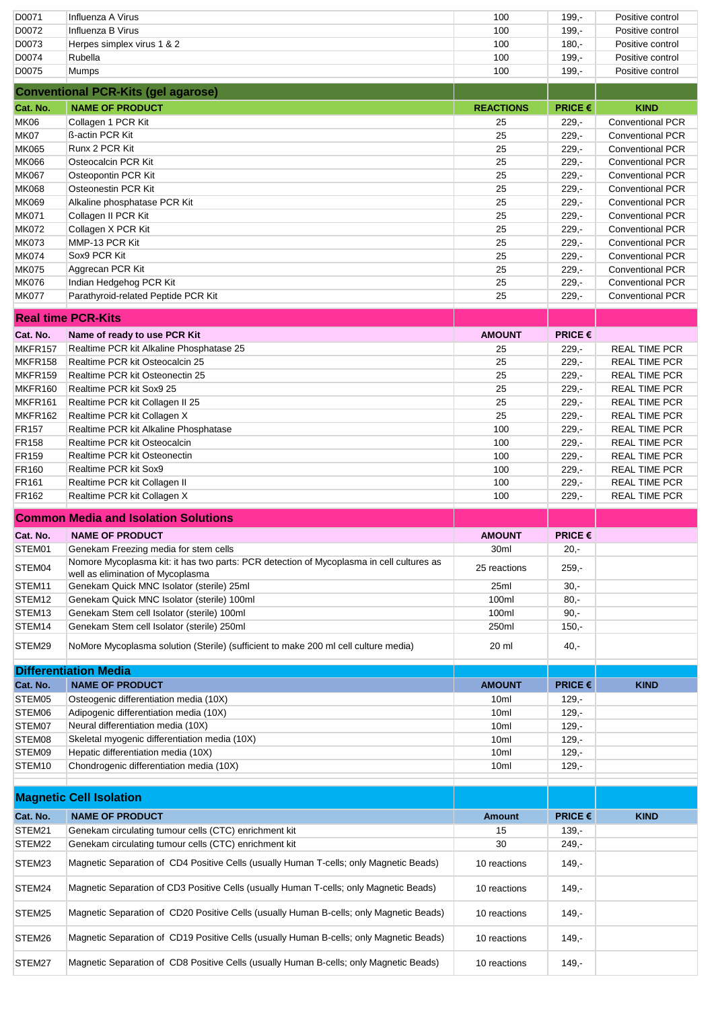| D0071             | Influenza A Virus                                                                                                                               | 100                | $199. -$                           | Positive control        |
|-------------------|-------------------------------------------------------------------------------------------------------------------------------------------------|--------------------|------------------------------------|-------------------------|
| D0072             | Influenza B Virus                                                                                                                               | 100                | $199. -$                           | Positive control        |
| D0073             | Herpes simplex virus 1 & 2                                                                                                                      | 100                | $180 -$                            | Positive control        |
| D0074             | Rubella                                                                                                                                         | 100                | $199. -$                           | Positive control        |
| D0075             | <b>Mumps</b>                                                                                                                                    | 100                | $199 -$                            | Positive control        |
|                   |                                                                                                                                                 |                    |                                    |                         |
|                   | <b>Conventional PCR-Kits (gel agarose)</b>                                                                                                      |                    |                                    |                         |
| Cat. No.          | <b>NAME OF PRODUCT</b>                                                                                                                          | <b>REACTIONS</b>   | PRICE €                            | <b>KIND</b>             |
| <b>MK06</b>       | Collagen 1 PCR Kit                                                                                                                              | 25                 | $229 -$                            | <b>Conventional PCR</b> |
| MK07              | ß-actin PCR Kit                                                                                                                                 | 25                 | $229 -$                            | <b>Conventional PCR</b> |
| <b>MK065</b>      | Runx 2 PCR Kit                                                                                                                                  | 25                 | $229 -$                            | <b>Conventional PCR</b> |
| <b>MK066</b>      | Osteocalcin PCR Kit                                                                                                                             | 25                 | $229 -$                            | Conventional PCR        |
| <b>MK067</b>      | Osteopontin PCR Kit                                                                                                                             | 25                 | $229 -$                            | <b>Conventional PCR</b> |
| <b>MK068</b>      | Osteonestin PCR Kit                                                                                                                             | 25                 | $229 -$                            | <b>Conventional PCR</b> |
|                   |                                                                                                                                                 |                    |                                    |                         |
| <b>MK069</b>      | Alkaline phosphatase PCR Kit                                                                                                                    | 25                 | $229 -$                            | <b>Conventional PCR</b> |
| <b>MK071</b>      | Collagen II PCR Kit                                                                                                                             | 25                 | $229 -$                            | <b>Conventional PCR</b> |
| <b>MK072</b>      | Collagen X PCR Kit                                                                                                                              | 25                 | $229 -$                            | <b>Conventional PCR</b> |
| <b>MK073</b>      | MMP-13 PCR Kit                                                                                                                                  | 25                 | $229 -$                            | <b>Conventional PCR</b> |
| <b>MK074</b>      | Sox9 PCR Kit                                                                                                                                    | 25                 | $229 -$                            | <b>Conventional PCR</b> |
| <b>MK075</b>      | Aggrecan PCR Kit                                                                                                                                | 25                 | $229 -$                            | <b>Conventional PCR</b> |
| <b>MK076</b>      | Indian Hedgehog PCR Kit                                                                                                                         | 25                 | $229 -$                            | <b>Conventional PCR</b> |
| <b>MK077</b>      | Parathyroid-related Peptide PCR Kit                                                                                                             | 25                 | $229 -$                            | <b>Conventional PCR</b> |
|                   |                                                                                                                                                 |                    |                                    |                         |
|                   | <b>Real time PCR-Kits</b>                                                                                                                       |                    |                                    |                         |
| Cat. No.          | Name of ready to use PCR Kit                                                                                                                    | <b>AMOUNT</b>      | <b>PRICE <math>\epsilon</math></b> |                         |
| MKFR157           | Realtime PCR kit Alkaline Phosphatase 25                                                                                                        | 25                 | $229 -$                            | <b>REAL TIME PCR</b>    |
| MKFR158           | Realtime PCR kit Osteocalcin 25                                                                                                                 | 25                 | $229 -$                            | <b>REAL TIME PCR</b>    |
| MKFR159           | Realtime PCR kit Osteonectin 25                                                                                                                 | 25                 | $229 -$                            | <b>REAL TIME PCR</b>    |
| MKFR160           | Realtime PCR kit Sox9 25                                                                                                                        | 25                 | $229 -$                            | <b>REAL TIME PCR</b>    |
| MKFR161           |                                                                                                                                                 | 25                 |                                    |                         |
|                   | Realtime PCR kit Collagen II 25                                                                                                                 |                    | $229 -$                            | <b>REAL TIME PCR</b>    |
| MKFR162           | Realtime PCR kit Collagen X                                                                                                                     | 25                 | $229 -$                            | <b>REAL TIME PCR</b>    |
| <b>FR157</b>      | Realtime PCR kit Alkaline Phosphatase                                                                                                           | 100                | $229 -$                            | <b>REAL TIME PCR</b>    |
| <b>FR158</b>      | Realtime PCR kit Osteocalcin                                                                                                                    | 100                | $229 -$                            | <b>REAL TIME PCR</b>    |
| FR159             | Realtime PCR kit Osteonectin                                                                                                                    | 100                | $229 -$                            | <b>REAL TIME PCR</b>    |
| <b>FR160</b>      | Realtime PCR kit Sox9                                                                                                                           | 100                | $229 -$                            | <b>REAL TIME PCR</b>    |
| FR <sub>161</sub> | Realtime PCR kit Collagen II                                                                                                                    | 100                | $229 -$                            | <b>REAL TIME PCR</b>    |
|                   |                                                                                                                                                 |                    |                                    |                         |
| FR162             | Realtime PCR kit Collagen X                                                                                                                     | 100                | $229 -$                            | <b>REAL TIME PCR</b>    |
|                   |                                                                                                                                                 |                    |                                    |                         |
|                   | <b>Common Media and Isolation Solutions</b>                                                                                                     |                    |                                    |                         |
| Cat. No.          | <b>NAME OF PRODUCT</b>                                                                                                                          | <b>AMOUNT</b>      | <b>PRICE <math>\epsilon</math></b> |                         |
| STEM01            | Genekam Freezing media for stem cells                                                                                                           | 30ml               | $20, -$                            |                         |
| STEM04            | Nomore Mycoplasma kit: it has two parts: PCR detection of Mycoplasma in cell cultures as<br>well as elimination of Mycoplasma                   | 25 reactions       | $259 -$                            |                         |
|                   |                                                                                                                                                 |                    |                                    |                         |
| STEM11            | Genekam Quick MNC Isolator (sterile) 25ml                                                                                                       | 25ml               | $30 -$                             |                         |
| STEM12            | Genekam Quick MNC Isolator (sterile) 100ml                                                                                                      | 100ml              | $80 -$                             |                         |
| STEM13            | Genekam Stem cell Isolator (sterile) 100ml                                                                                                      | 100ml              | $90 -$                             |                         |
| STEM14            | Genekam Stem cell Isolator (sterile) 250ml                                                                                                      | 250ml              | $150,-$                            |                         |
| STEM29            | NoMore Mycoplasma solution (Sterile) (sufficient to make 200 ml cell culture media)                                                             | 20 ml              | $40,-$                             |                         |
|                   |                                                                                                                                                 |                    |                                    |                         |
|                   | <b>Differentiation Media</b>                                                                                                                    |                    |                                    |                         |
| Cat. No.          | <b>NAME OF PRODUCT</b>                                                                                                                          | <b>AMOUNT</b>      | PRICE €                            | <b>KIND</b>             |
| STEM05            | Osteogenic differentiation media (10X)                                                                                                          | 10ml               | $129 -$                            |                         |
| STEM06            | Adipogenic differentiation media (10X)                                                                                                          | 10ml               | $129 -$                            |                         |
| STEM07            | Neural differentiation media (10X)                                                                                                              | 10ml               | $129 -$                            |                         |
| STEM08            | Skeletal myogenic differentiation media (10X)                                                                                                   | 10ml               | $129 -$                            |                         |
| STEM09            | Hepatic differentiation media (10X)                                                                                                             | 10ml               | $129 -$                            |                         |
| STEM10            | Chondrogenic differentiation media (10X)                                                                                                        | 10ml               | $129 -$                            |                         |
|                   |                                                                                                                                                 |                    |                                    |                         |
|                   | <b>Magnetic Cell Isolation</b>                                                                                                                  |                    |                                    |                         |
|                   |                                                                                                                                                 |                    |                                    |                         |
| Cat. No.          | <b>NAME OF PRODUCT</b>                                                                                                                          | <b>Amount</b>      | <b>PRICE €</b>                     | <b>KIND</b>             |
| STEM21            | Genekam circulating tumour cells (CTC) enrichment kit                                                                                           | 15                 | $139,-$                            |                         |
| STEM22<br>STEM23  | Genekam circulating tumour cells (CTC) enrichment kit<br>Magnetic Separation of CD4 Positive Cells (usually Human T-cells; only Magnetic Beads) | 30<br>10 reactions | $249,-$<br>$149,-$                 |                         |
|                   |                                                                                                                                                 |                    |                                    |                         |
| STEM24            | Magnetic Separation of CD3 Positive Cells (usually Human T-cells; only Magnetic Beads)                                                          | 10 reactions       | $149, -$                           |                         |
| STEM25            | Magnetic Separation of CD20 Positive Cells (usually Human B-cells; only Magnetic Beads)                                                         | 10 reactions       | $149,-$                            |                         |
| STEM26            | Magnetic Separation of CD19 Positive Cells (usually Human B-cells; only Magnetic Beads)                                                         | 10 reactions       | $149 -$                            |                         |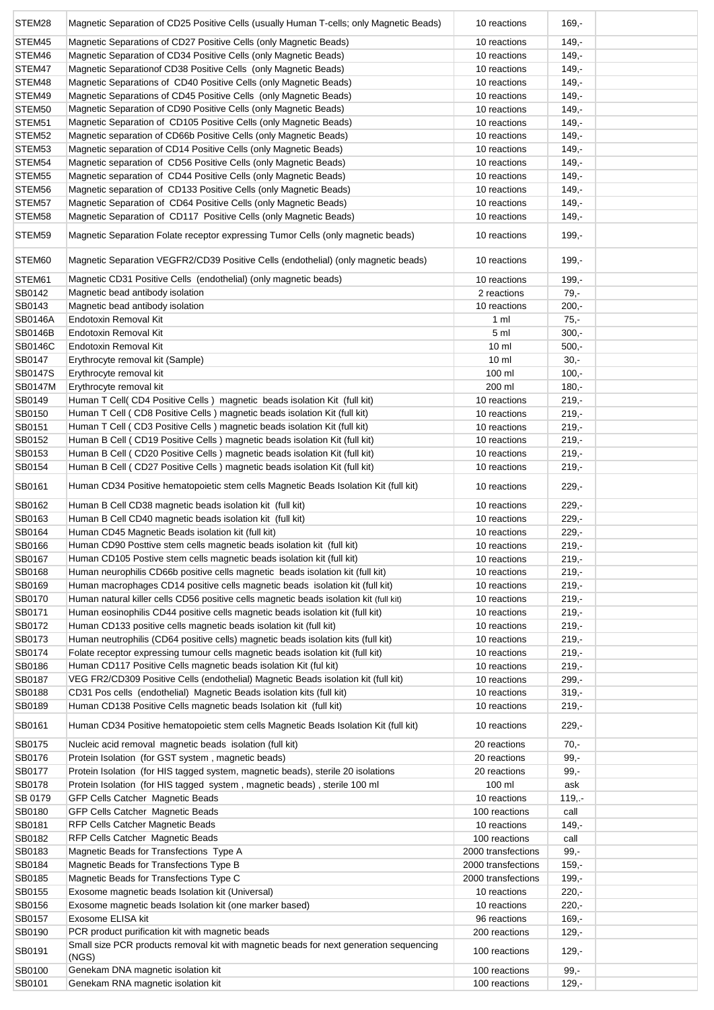| STEM28           | Magnetic Separation of CD25 Positive Cells (usually Human T-cells; only Magnetic Beads)                                                                    | 10 reactions                 | $169 -$            |  |
|------------------|------------------------------------------------------------------------------------------------------------------------------------------------------------|------------------------------|--------------------|--|
| STEM45           | Magnetic Separations of CD27 Positive Cells (only Magnetic Beads)                                                                                          | 10 reactions                 | $149 -$            |  |
| STEM46           | Magnetic Separation of CD34 Positive Cells (only Magnetic Beads)                                                                                           | 10 reactions                 | $149, -$           |  |
| STEM47           | Magnetic Separation of CD38 Positive Cells (only Magnetic Beads)                                                                                           | 10 reactions                 | $149, -$           |  |
| STEM48           | Magnetic Separations of CD40 Positive Cells (only Magnetic Beads)                                                                                          | 10 reactions                 | $149, -$           |  |
| STEM49           | Magnetic Separations of CD45 Positive Cells (only Magnetic Beads)                                                                                          | 10 reactions                 | $149,-$            |  |
| STEM50           | Magnetic Separation of CD90 Positive Cells (only Magnetic Beads)                                                                                           | 10 reactions                 | $149 -$            |  |
| STEM51           | Magnetic Separation of CD105 Positive Cells (only Magnetic Beads)                                                                                          | 10 reactions                 | $149,-$            |  |
| STEM52           | Magnetic separation of CD66b Positive Cells (only Magnetic Beads)                                                                                          | 10 reactions                 | $149,-$            |  |
| STEM53           | Magnetic separation of CD14 Positive Cells (only Magnetic Beads)                                                                                           | 10 reactions                 | $149,-$            |  |
| STEM54           | Magnetic separation of CD56 Positive Cells (only Magnetic Beads)                                                                                           | 10 reactions                 | $149,-$            |  |
| STEM55           | Magnetic separation of CD44 Positive Cells (only Magnetic Beads)                                                                                           | 10 reactions                 | $149, -$           |  |
| STEM56           | Magnetic separation of CD133 Positive Cells (only Magnetic Beads)                                                                                          | 10 reactions                 | $149, -$           |  |
| STEM57           | Magnetic Separation of CD64 Positive Cells (only Magnetic Beads)                                                                                           | 10 reactions                 | $149 -$            |  |
| STEM58           | Magnetic Separation of CD117 Positive Cells (only Magnetic Beads)                                                                                          | 10 reactions                 | $149, -$           |  |
| STEM59           | Magnetic Separation Folate receptor expressing Tumor Cells (only magnetic beads)                                                                           | 10 reactions                 | $199 -$            |  |
| STEM60           | Magnetic Separation VEGFR2/CD39 Positive Cells (endothelial) (only magnetic beads)                                                                         | 10 reactions                 | $199 -$            |  |
| STEM61           | Magnetic CD31 Positive Cells (endothelial) (only magnetic beads)                                                                                           | 10 reactions                 | $199,-$            |  |
| SB0142           | Magnetic bead antibody isolation                                                                                                                           | 2 reactions                  | 79,-               |  |
| SB0143           | Magnetic bead antibody isolation                                                                                                                           | 10 reactions                 | $200,-$            |  |
| <b>SB0146A</b>   | Endotoxin Removal Kit                                                                                                                                      | 1 <sub>m</sub>               | $75,-$             |  |
| <b>SB0146B</b>   | Endotoxin Removal Kit                                                                                                                                      | 5 ml                         | $300 -$            |  |
| <b>SB0146C</b>   | Endotoxin Removal Kit                                                                                                                                      | 10 <sub>m</sub>              | $500 -$            |  |
| SB0147           | Erythrocyte removal kit (Sample)                                                                                                                           | 10 <sub>m</sub>              | $30,-$             |  |
| SB0147S          | Erythrocyte removal kit                                                                                                                                    | 100 ml                       | $100,-$            |  |
| <b>SB0147M</b>   | Erythrocyte removal kit                                                                                                                                    | 200 ml                       | $180 -$            |  |
| SB0149           | Human T Cell(CD4 Positive Cells) magnetic beads isolation Kit (full kit)                                                                                   | 10 reactions                 | $219 -$            |  |
| SB0150           | Human T Cell (CD8 Positive Cells) magnetic beads isolation Kit (full kit)                                                                                  | 10 reactions                 | $219 -$            |  |
| SB0151           | Human T Cell (CD3 Positive Cells) magnetic beads isolation Kit (full kit)                                                                                  | 10 reactions                 | $219,-$            |  |
| SB0152           | Human B Cell (CD19 Positive Cells) magnetic beads isolation Kit (full kit)                                                                                 | 10 reactions                 | $219 -$            |  |
| SB0153           | Human B Cell (CD20 Positive Cells) magnetic beads isolation Kit (full kit)                                                                                 | 10 reactions                 | $219,-$            |  |
| SB0154           | Human B Cell (CD27 Positive Cells) magnetic beads isolation Kit (full kit)                                                                                 | 10 reactions                 | $219 -$            |  |
| SB0161           | Human CD34 Positive hematopoietic stem cells Magnetic Beads Isolation Kit (full kit)                                                                       | 10 reactions                 | $229 -$            |  |
| SB0162           | Human B Cell CD38 magnetic beads isolation kit (full kit)                                                                                                  | 10 reactions                 | $229 -$            |  |
| SB0163           | Human B Cell CD40 magnetic beads isolation kit (full kit)                                                                                                  | 10 reactions                 | $229 -$            |  |
| SB0164           | Human CD45 Magnetic Beads isolation kit (full kit)                                                                                                         | 10 reactions                 | $229 -$            |  |
| SB0166           | Human CD90 Posttive stem cells magnetic beads isolation kit (full kit)                                                                                     | 10 reactions                 | $219 -$            |  |
| SB0167           | Human CD105 Postive stem cells magnetic beads isolation kit (full kit)                                                                                     | 10 reactions                 | $219,-$            |  |
| SB0168           | Human neurophilis CD66b positive cells magnetic beads isolation kit (full kit)                                                                             | 10 reactions                 | $219,-$            |  |
| SB0169           | Human macrophages CD14 positive cells magnetic beads isolation kit (full kit)                                                                              | 10 reactions                 | $219,-$            |  |
| SB0170           | Human natural killer cells CD56 positive cells magnetic beads isolation kit (full kit)                                                                     | 10 reactions                 | $219,-$            |  |
| SB0171           | Human eosinophilis CD44 positive cells magnetic beads isolation kit (full kit)                                                                             | 10 reactions                 | $219,-$            |  |
| SB0172           | Human CD133 positive cells magnetic beads isolation kit (full kit)                                                                                         | 10 reactions                 | $219 -$            |  |
| SB0173           | Human neutrophilis (CD64 positive cells) magnetic beads isolation kits (full kit)                                                                          | 10 reactions                 | $219,-$            |  |
| SB0174           | Folate receptor expressing tumour cells magnetic beads isolation kit (full kit)                                                                            | 10 reactions                 | $219,-$            |  |
| SB0186           | Human CD117 Positive Cells magnetic beads isolation Kit (ful kit)                                                                                          | 10 reactions                 | $219,-$            |  |
| SB0187           | VEG FR2/CD309 Positive Cells (endothelial) Magnetic Beads isolation kit (full kit)                                                                         | 10 reactions                 | $299 -$            |  |
| SB0188           | CD31 Pos cells (endothelial) Magnetic Beads isolation kits (full kit)                                                                                      | 10 reactions                 | $319,-$            |  |
| SB0189<br>SB0161 | Human CD138 Positive Cells magnetic beads Isolation kit (full kit)<br>Human CD34 Positive hematopoietic stem cells Magnetic Beads Isolation Kit (full kit) | 10 reactions<br>10 reactions | $219,-$<br>$229 -$ |  |
|                  |                                                                                                                                                            |                              |                    |  |
| SB0175<br>SB0176 | Nucleic acid removal magnetic beads isolation (full kit)                                                                                                   | 20 reactions<br>20 reactions | $70,-$             |  |
| SB0177           | Protein Isolation (for GST system, magnetic beads)<br>Protein Isolation (for HIS tagged system, magnetic beads), sterile 20 isolations                     | 20 reactions                 | $99,-$<br>$99,-$   |  |
| SB0178           | Protein Isolation (for HIS tagged system, magnetic beads), sterile 100 ml                                                                                  | 100 ml                       | ask                |  |
| SB 0179          | GFP Cells Catcher Magnetic Beads                                                                                                                           | 10 reactions                 | $119, -$           |  |
| SB0180           | GFP Cells Catcher Magnetic Beads                                                                                                                           | 100 reactions                | call               |  |
| SB0181           | RFP Cells Catcher Magnetic Beads                                                                                                                           | 10 reactions                 | $149,-$            |  |
| SB0182           | <b>RFP Cells Catcher Magnetic Beads</b>                                                                                                                    | 100 reactions                | call               |  |
| SB0183           | Magnetic Beads for Transfections Type A                                                                                                                    | 2000 transfections           | $99,-$             |  |
| SB0184           | Magnetic Beads for Transfections Type B                                                                                                                    | 2000 transfections           | $159 -$            |  |
| SB0185           | Magnetic Beads for Transfections Type C                                                                                                                    | 2000 transfections           | 199,-              |  |
| SB0155           | Exosome magnetic beads Isolation kit (Universal)                                                                                                           | 10 reactions                 | $220 -$            |  |
| SB0156           | Exosome magnetic beads Isolation kit (one marker based)                                                                                                    | 10 reactions                 | $220 -$            |  |
| SB0157           | Exosome ELISA kit                                                                                                                                          | 96 reactions                 | $169, -$           |  |
| SB0190           | PCR product purification kit with magnetic beads                                                                                                           | 200 reactions                | $129 -$            |  |
| SB0191           | Small size PCR products removal kit with magnetic beads for next generation sequencing<br>(NGS)                                                            | 100 reactions                | $129 -$            |  |
| SB0100           | Genekam DNA magnetic isolation kit                                                                                                                         | 100 reactions                | $99,-$             |  |
| SB0101           | Genekam RNA magnetic isolation kit                                                                                                                         | 100 reactions                | $129 -$            |  |
|                  |                                                                                                                                                            |                              |                    |  |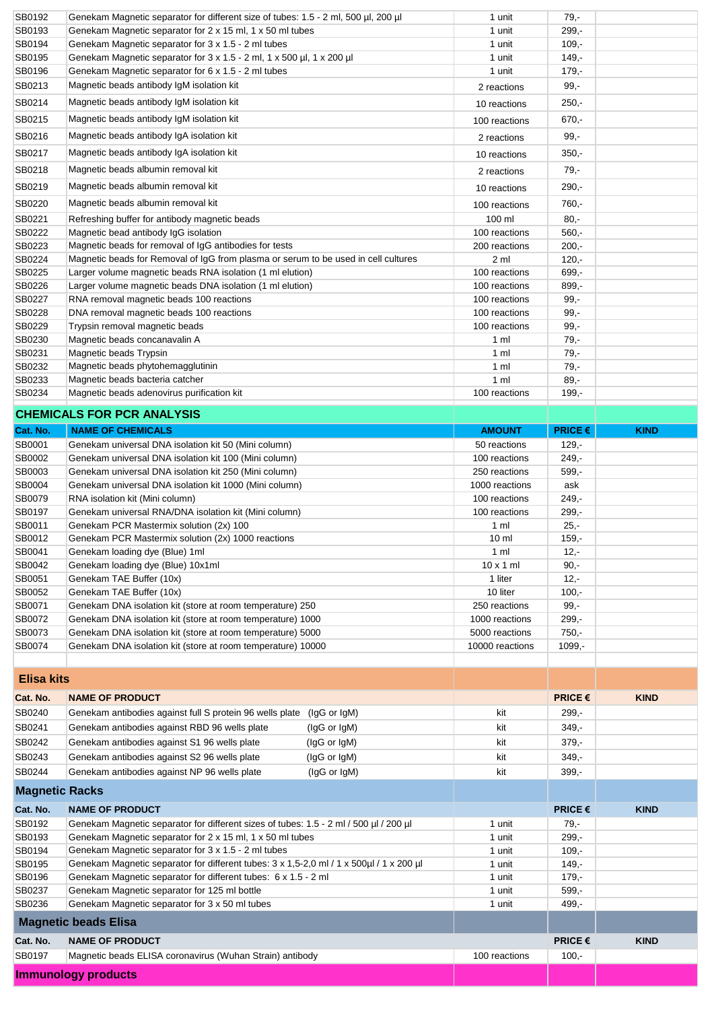| SB0192                | Genekam Magnetic separator for different size of tubes: 1.5 - 2 ml, 500 µl, 200 µl                                       | 1 unit                          | $79 -$                             |             |
|-----------------------|--------------------------------------------------------------------------------------------------------------------------|---------------------------------|------------------------------------|-------------|
| SB0193                | Genekam Magnetic separator for 2 x 15 ml, 1 x 50 ml tubes                                                                | 1 unit                          | $299,-$                            |             |
| SB0194                | Genekam Magnetic separator for 3 x 1.5 - 2 ml tubes                                                                      | 1 unit                          | $109 -$                            |             |
| SB0195                | Genekam Magnetic separator for 3 x 1.5 - 2 ml, 1 x 500 µl, 1 x 200 µl                                                    | 1 unit                          | $149 -$                            |             |
| SB0196                | Genekam Magnetic separator for 6 x 1.5 - 2 ml tubes                                                                      | 1 unit                          | $179,-$                            |             |
| SB0213                | Magnetic beads antibody IgM isolation kit                                                                                | 2 reactions                     | $99,-$                             |             |
| SB0214                | Magnetic beads antibody IgM isolation kit                                                                                | 10 reactions                    | $250 -$                            |             |
| SB0215                | Magnetic beads antibody IgM isolation kit                                                                                | 100 reactions                   | $670 -$                            |             |
| SB0216                | Magnetic beads antibody IgA isolation kit                                                                                | 2 reactions                     | $99,-$                             |             |
| SB0217                | Magnetic beads antibody IgA isolation kit                                                                                | 10 reactions                    | $350 -$                            |             |
|                       |                                                                                                                          |                                 |                                    |             |
| SB0218                | Magnetic beads albumin removal kit                                                                                       | 2 reactions                     | 79,-                               |             |
| SB0219                | Magnetic beads albumin removal kit                                                                                       | 10 reactions                    | $290 -$                            |             |
| SB0220                | Magnetic beads albumin removal kit                                                                                       | 100 reactions                   | 760,-                              |             |
| SB0221                | Refreshing buffer for antibody magnetic beads                                                                            | 100 ml                          | $80,-$                             |             |
| SB0222                | Magnetic bead antibody IgG isolation                                                                                     | 100 reactions                   | $560,-$                            |             |
| SB0223                | Magnetic beads for removal of IgG antibodies for tests                                                                   | 200 reactions                   | $200 -$                            |             |
| SB0224                | Magnetic beads for Removal of IgG from plasma or serum to be used in cell cultures                                       | 2 ml                            | $120 -$                            |             |
| SB0225                | Larger volume magnetic beads RNA isolation (1 ml elution)                                                                | 100 reactions                   | 699,-                              |             |
| SB0226                | Larger volume magnetic beads DNA isolation (1 ml elution)                                                                | 100 reactions                   | $899,-$                            |             |
| SB0227<br>SB0228      | RNA removal magnetic beads 100 reactions<br>DNA removal magnetic beads 100 reactions                                     | 100 reactions                   | $99 -$                             |             |
|                       |                                                                                                                          | 100 reactions                   | $99 -$                             |             |
| SB0229<br>SB0230      | Trypsin removal magnetic beads<br>Magnetic beads concanavalin A                                                          | 100 reactions<br>1 ml           | $99 -$<br>$79, -$                  |             |
| SB0231                | Magnetic beads Trypsin                                                                                                   | 1 ml                            | $79 -$                             |             |
| SB0232                | Magnetic beads phytohemagglutinin                                                                                        | 1 <sub>m</sub>                  | $79 -$                             |             |
| SB0233                | Magnetic beads bacteria catcher                                                                                          | 1 <sub>m</sub>                  | $89 -$                             |             |
| SB0234                | Magnetic beads adenovirus purification kit                                                                               | 100 reactions                   | $199 -$                            |             |
|                       |                                                                                                                          |                                 |                                    |             |
|                       | <b>CHEMICALS FOR PCR ANALYSIS</b>                                                                                        |                                 |                                    |             |
| Cat. No.              | <b>NAME OF CHEMICALS</b>                                                                                                 | <b>AMOUNT</b>                   | PRICE€                             | <b>KIND</b> |
| SB0001                | Genekam universal DNA isolation kit 50 (Mini column)                                                                     | 50 reactions                    | $129 -$                            |             |
| SB0002                | Genekam universal DNA isolation kit 100 (Mini column)                                                                    | 100 reactions                   | $249,-$                            |             |
| SB0003                | Genekam universal DNA isolation kit 250 (Mini column)                                                                    | 250 reactions                   | $599,-$                            |             |
| SB0004                | Genekam universal DNA isolation kit 1000 (Mini column)                                                                   | 1000 reactions                  | ask                                |             |
| SB0079                | RNA isolation kit (Mini column)                                                                                          | 100 reactions                   | 249,-                              |             |
|                       |                                                                                                                          |                                 |                                    |             |
| SB0197                | Genekam universal RNA/DNA isolation kit (Mini column)                                                                    | 100 reactions                   | $299 -$                            |             |
| SB0011                | Genekam PCR Mastermix solution (2x) 100                                                                                  | $1 \text{ ml}$                  | $25 -$                             |             |
| SB0012                | Genekam PCR Mastermix solution (2x) 1000 reactions                                                                       | 10 <sub>m</sub>                 | $159 -$                            |             |
| SB0041                | Genekam loading dye (Blue) 1ml                                                                                           | 1 ml                            | 12,-                               |             |
| SB0042                | Genekam loading dye (Blue) 10x1ml                                                                                        | $10 \times 1$ ml                | $90 -$                             |             |
| SB0051                | Genekam TAE Buffer (10x)                                                                                                 | 1 liter                         | $12 -$                             |             |
| SB0052                | Genekam TAE Buffer (10x)                                                                                                 | 10 liter                        | $100,-$                            |             |
| SB0071<br>SB0072      | Genekam DNA isolation kit (store at room temperature) 250                                                                | 250 reactions<br>1000 reactions | $99,-$<br>$299,-$                  |             |
| SB0073                | Genekam DNA isolation kit (store at room temperature) 1000<br>Genekam DNA isolation kit (store at room temperature) 5000 | 5000 reactions                  | $750,-$                            |             |
| SB0074                | Genekam DNA isolation kit (store at room temperature) 10000                                                              | 10000 reactions                 | $1099,-$                           |             |
|                       |                                                                                                                          |                                 |                                    |             |
|                       |                                                                                                                          |                                 |                                    |             |
| <b>Elisa kits</b>     |                                                                                                                          |                                 |                                    |             |
| Cat. No.              | <b>NAME OF PRODUCT</b>                                                                                                   |                                 | <b>PRICE €</b>                     | <b>KIND</b> |
| SB0240                | Genekam antibodies against full S protein 96 wells plate<br>(lgG or lgM)                                                 | kit                             | $299,-$                            |             |
| SB0241                | Genekam antibodies against RBD 96 wells plate<br>(IgG or IgM)                                                            | kit                             | $349,-$                            |             |
| SB0242                | Genekam antibodies against S1 96 wells plate<br>(IgG or IgM)                                                             | kit                             | $379,-$                            |             |
| SB0243                | Genekam antibodies against S2 96 wells plate<br>(IgG or IgM)                                                             | kit                             | $349,-$                            |             |
| SB0244                | Genekam antibodies against NP 96 wells plate<br>(IgG or IgM)                                                             | kit                             | 399,-                              |             |
| <b>Magnetic Racks</b> |                                                                                                                          |                                 |                                    |             |
| Cat. No.              | <b>NAME OF PRODUCT</b>                                                                                                   |                                 | <b>PRICE <math>\epsilon</math></b> | <b>KIND</b> |
| SB0192                | Genekam Magnetic separator for different sizes of tubes: 1.5 - 2 ml / 500 µl / 200 µl                                    | 1 unit                          | $79 -$                             |             |
| SB0193                | Genekam Magnetic separator for 2 x 15 ml, 1 x 50 ml tubes                                                                | 1 unit                          | $299,-$                            |             |
| SB0194                | Genekam Magnetic separator for 3 x 1.5 - 2 ml tubes                                                                      | 1 unit                          | $109 -$                            |             |
| SB0195                | Genekam Magnetic separator for different tubes: 3 x 1,5-2,0 ml / 1 x 500ul / 1 x 200 ul                                  | 1 unit                          | $149,-$                            |             |
| SB0196                | Genekam Magnetic separator for different tubes: 6 x 1.5 - 2 ml                                                           | 1 unit                          | $179,-$                            |             |
| SB0237                | Genekam Magnetic separator for 125 ml bottle                                                                             | 1 unit                          | $599,-$                            |             |
| SB0236                | Genekam Magnetic separator for 3 x 50 ml tubes                                                                           | 1 unit                          | 499,-                              |             |
|                       | <b>Magnetic beads Elisa</b>                                                                                              |                                 |                                    |             |
| Cat. No.              | <b>NAME OF PRODUCT</b>                                                                                                   |                                 | <b>PRICE <math>\epsilon</math></b> | <b>KIND</b> |
| SB0197                | Magnetic beads ELISA coronavirus (Wuhan Strain) antibody                                                                 | 100 reactions                   | $100,-$                            |             |
|                       | <b>Immunology products</b>                                                                                               |                                 |                                    |             |